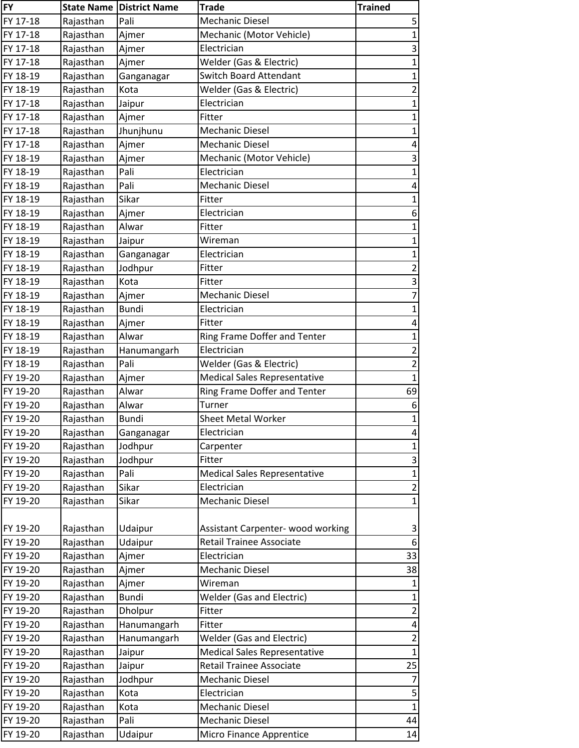| <b>FY</b> |           | <b>State Name District Name</b> | <b>Trade</b>                        | <b>Trained</b>          |
|-----------|-----------|---------------------------------|-------------------------------------|-------------------------|
| FY 17-18  | Rajasthan | Pali                            | <b>Mechanic Diesel</b>              | 5                       |
| FY 17-18  | Rajasthan | Ajmer                           | Mechanic (Motor Vehicle)            | $\mathbf{1}$            |
| FY 17-18  | Rajasthan | Ajmer                           | Electrician                         | 3                       |
| FY 17-18  | Rajasthan | Ajmer                           | Welder (Gas & Electric)             | $\mathbf 1$             |
| FY 18-19  | Rajasthan | Ganganagar                      | <b>Switch Board Attendant</b>       | $\mathbf{1}$            |
| FY 18-19  | Rajasthan | Kota                            | Welder (Gas & Electric)             | $\overline{\mathbf{c}}$ |
| FY 17-18  | Rajasthan | Jaipur                          | Electrician                         | $\mathbf{1}$            |
| FY 17-18  | Rajasthan | Ajmer                           | Fitter                              | $\mathbf{1}$            |
| FY 17-18  | Rajasthan | Jhunjhunu                       | <b>Mechanic Diesel</b>              | $\mathbf 1$             |
| FY 17-18  | Rajasthan | Ajmer                           | <b>Mechanic Diesel</b>              | 4                       |
| FY 18-19  | Rajasthan | Ajmer                           | Mechanic (Motor Vehicle)            | 3                       |
| FY 18-19  | Rajasthan | Pali                            | Electrician                         | $\mathbf{1}$            |
| FY 18-19  | Rajasthan | Pali                            | <b>Mechanic Diesel</b>              | 4                       |
| FY 18-19  | Rajasthan | Sikar                           | Fitter                              | $\mathbf{1}$            |
| FY 18-19  | Rajasthan | Ajmer                           | Electrician                         | 6                       |
| FY 18-19  | Rajasthan | Alwar                           | Fitter                              | $\mathbf{1}$            |
| FY 18-19  | Rajasthan | Jaipur                          | Wireman                             | $\mathbf 1$             |
| FY 18-19  | Rajasthan | Ganganagar                      | Electrician                         | $\mathbf 1$             |
| FY 18-19  | Rajasthan | Jodhpur                         | Fitter                              | $\overline{2}$          |
| FY 18-19  | Rajasthan | Kota                            | Fitter                              | 3                       |
| FY 18-19  | Rajasthan | Ajmer                           | <b>Mechanic Diesel</b>              | $\overline{7}$          |
| FY 18-19  | Rajasthan | <b>Bundi</b>                    | Electrician                         | $\mathbf{1}$            |
| FY 18-19  | Rajasthan | Ajmer                           | Fitter                              | $\overline{\mathbf{4}}$ |
| FY 18-19  | Rajasthan | Alwar                           | Ring Frame Doffer and Tenter        | $\mathbf{1}$            |
| FY 18-19  | Rajasthan | Hanumangarh                     | Electrician                         | $\overline{2}$          |
| FY 18-19  | Rajasthan | Pali                            | Welder (Gas & Electric)             | $\overline{2}$          |
| FY 19-20  | Rajasthan | Ajmer                           | <b>Medical Sales Representative</b> | $\mathbf{1}$            |
| FY 19-20  | Rajasthan | Alwar                           | Ring Frame Doffer and Tenter        | 69                      |
| FY 19-20  | Rajasthan | Alwar                           | Turner                              | 6                       |
| FY 19-20  | Rajasthan | <b>Bundi</b>                    | <b>Sheet Metal Worker</b>           | $\mathbf 1$             |
| FY 19-20  | Rajasthan | Ganganagar                      | Electrician                         | 4                       |
| FY 19-20  | Rajasthan | Jodhpur                         | Carpenter                           | 1                       |
| FY 19-20  | Rajasthan | Jodhpur                         | Fitter                              | 3                       |
| FY 19-20  | Rajasthan | Pali                            | <b>Medical Sales Representative</b> | $\mathbf{1}$            |
| FY 19-20  | Rajasthan | Sikar                           | Electrician                         | $\overline{2}$          |
| FY 19-20  | Rajasthan | Sikar                           | <b>Mechanic Diesel</b>              | $\mathbf{1}$            |
|           |           |                                 |                                     |                         |
| FY 19-20  | Rajasthan | Udaipur                         | Assistant Carpenter- wood working   | 3                       |
| FY 19-20  | Rajasthan | Udaipur                         | <b>Retail Trainee Associate</b>     | 6                       |
| FY 19-20  | Rajasthan | Ajmer                           | Electrician                         | 33                      |
| FY 19-20  | Rajasthan | Ajmer                           | <b>Mechanic Diesel</b>              | 38                      |
| FY 19-20  | Rajasthan | Ajmer                           | Wireman                             | $\mathbf{1}$            |
| FY 19-20  | Rajasthan | <b>Bundi</b>                    | <b>Welder (Gas and Electric)</b>    | $\mathbf{1}$            |
| FY 19-20  | Rajasthan | Dholpur                         | Fitter                              | $\overline{\mathbf{c}}$ |
| FY 19-20  | Rajasthan | Hanumangarh                     | Fitter                              | 4                       |
| FY 19-20  | Rajasthan | Hanumangarh                     | <b>Welder (Gas and Electric)</b>    | $\overline{2}$          |
| FY 19-20  | Rajasthan | Jaipur                          | <b>Medical Sales Representative</b> | $\mathbf{1}$            |
| FY 19-20  | Rajasthan | Jaipur                          | <b>Retail Trainee Associate</b>     | 25                      |
| FY 19-20  | Rajasthan | Jodhpur                         | <b>Mechanic Diesel</b>              | $\overline{7}$          |
| FY 19-20  | Rajasthan | Kota                            | Electrician                         | 5                       |
| FY 19-20  | Rajasthan | Kota                            | <b>Mechanic Diesel</b>              | 1                       |
| FY 19-20  | Rajasthan | Pali                            | <b>Mechanic Diesel</b>              | 44                      |
| FY 19-20  | Rajasthan | Udaipur                         | Micro Finance Apprentice            | 14                      |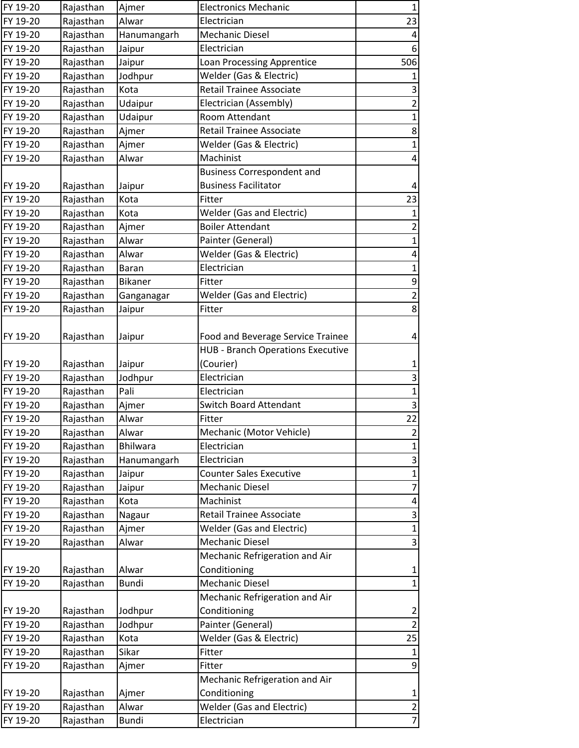| FY 19-20 | Rajasthan | Ajmer           | <b>Electronics Mechanic</b>              | $\mathbf{1}$              |
|----------|-----------|-----------------|------------------------------------------|---------------------------|
| FY 19-20 | Rajasthan | Alwar           | Electrician                              | 23                        |
| FY 19-20 | Rajasthan | Hanumangarh     | <b>Mechanic Diesel</b>                   | $\overline{\mathbf{r}}$   |
| FY 19-20 | Rajasthan | Jaipur          | Electrician                              | $6\,$                     |
| FY 19-20 | Rajasthan | Jaipur          | Loan Processing Apprentice               | 506                       |
| FY 19-20 | Rajasthan | Jodhpur         | Welder (Gas & Electric)                  | 1                         |
| FY 19-20 | Rajasthan | Kota            | <b>Retail Trainee Associate</b>          | $\mathsf{3}$              |
| FY 19-20 | Rajasthan | Udaipur         | Electrician (Assembly)                   | $\overline{2}$            |
| FY 19-20 | Rajasthan | Udaipur         | Room Attendant                           | $\mathbf{1}$              |
| FY 19-20 | Rajasthan | Ajmer           | <b>Retail Trainee Associate</b>          | $\bf 8$                   |
| FY 19-20 | Rajasthan | Ajmer           | Welder (Gas & Electric)                  | $\mathbf{1}$              |
| FY 19-20 | Rajasthan | Alwar           | Machinist                                | $\overline{a}$            |
|          |           |                 | <b>Business Correspondent and</b>        |                           |
| FY 19-20 | Rajasthan | Jaipur          | <b>Business Facilitator</b>              | 4                         |
| FY 19-20 | Rajasthan | Kota            | Fitter                                   | 23                        |
| FY 19-20 | Rajasthan | Kota            | Welder (Gas and Electric)                | $\mathbf 1$               |
| FY 19-20 | Rajasthan | Ajmer           | <b>Boiler Attendant</b>                  | $\overline{\mathbf{c}}$   |
| FY 19-20 | Rajasthan | Alwar           | Painter (General)                        | $\mathbf{1}$              |
| FY 19-20 | Rajasthan | Alwar           | Welder (Gas & Electric)                  | $\overline{a}$            |
| FY 19-20 | Rajasthan | Baran           | Electrician                              | $\mathbf{1}$              |
| FY 19-20 | Rajasthan | Bikaner         | Fitter                                   | $\boldsymbol{9}$          |
| FY 19-20 | Rajasthan | Ganganagar      | <b>Welder (Gas and Electric)</b>         | $\overline{\mathbf{c}}$   |
| FY 19-20 | Rajasthan | Jaipur          | Fitter                                   | $\bf 8$                   |
|          |           |                 |                                          |                           |
| FY 19-20 | Rajasthan | Jaipur          | Food and Beverage Service Trainee        | $\overline{4}$            |
|          |           |                 | <b>HUB - Branch Operations Executive</b> |                           |
| FY 19-20 | Rajasthan | Jaipur          | (Courier)                                | $\mathbf{1}$              |
| FY 19-20 | Rajasthan | Jodhpur         | Electrician                              | $\ensuremath{\mathsf{3}}$ |
| FY 19-20 | Rajasthan | Pali            | Electrician                              | $\mathbf{1}$              |
| FY 19-20 | Rajasthan | Ajmer           | <b>Switch Board Attendant</b>            | $\mathsf{3}$              |
| FY 19-20 | Rajasthan | Alwar           | Fitter                                   | 22                        |
| FY 19-20 | Rajasthan | Alwar           | Mechanic (Motor Vehicle)                 | $\overline{a}$            |
| FY 19-20 | Rajasthan | <b>Bhilwara</b> | Electrician                              | $\mathbf{1}$              |
| FY 19-20 | Rajasthan | Hanumangarh     | Electrician                              | $\ensuremath{\mathsf{3}}$ |
| FY 19-20 | Rajasthan | Jaipur          | <b>Counter Sales Executive</b>           | $\mathbf 1$               |
| FY 19-20 | Rajasthan | Jaipur          | <b>Mechanic Diesel</b>                   | $\overline{7}$            |
| FY 19-20 | Rajasthan | Kota            | Machinist                                | $\overline{\mathbf{r}}$   |
| FY 19-20 | Rajasthan | Nagaur          | Retail Trainee Associate                 | $\mathsf{3}$              |
| FY 19-20 | Rajasthan | Ajmer           | <b>Welder (Gas and Electric)</b>         | $\mathbf{1}$              |
| FY 19-20 | Rajasthan | Alwar           | <b>Mechanic Diesel</b>                   | $\overline{\mathbf{3}}$   |
|          |           |                 | Mechanic Refrigeration and Air           |                           |
| FY 19-20 | Rajasthan | Alwar           | Conditioning                             | $\mathbf{1}$              |
| FY 19-20 | Rajasthan | <b>Bundi</b>    | <b>Mechanic Diesel</b>                   | $\mathbf{1}$              |
|          |           |                 | Mechanic Refrigeration and Air           |                           |
| FY 19-20 | Rajasthan | Jodhpur         | Conditioning                             | $\overline{c}$            |
| FY 19-20 | Rajasthan | Jodhpur         | Painter (General)                        | $\overline{2}$            |
| FY 19-20 | Rajasthan | Kota            | Welder (Gas & Electric)                  | 25                        |
| FY 19-20 | Rajasthan | Sikar           | Fitter                                   | $\mathbf{1}$              |
| FY 19-20 | Rajasthan | Ajmer           | Fitter                                   | $9\,$                     |
|          |           |                 | Mechanic Refrigeration and Air           |                           |
| FY 19-20 | Rajasthan | Ajmer           | Conditioning                             | $\mathbf{1}$              |
| FY 19-20 | Rajasthan | Alwar           | <b>Welder (Gas and Electric)</b>         | $\overline{2}$            |
| FY 19-20 | Rajasthan | <b>Bundi</b>    | Electrician                              | $\overline{7}$            |
|          |           |                 |                                          |                           |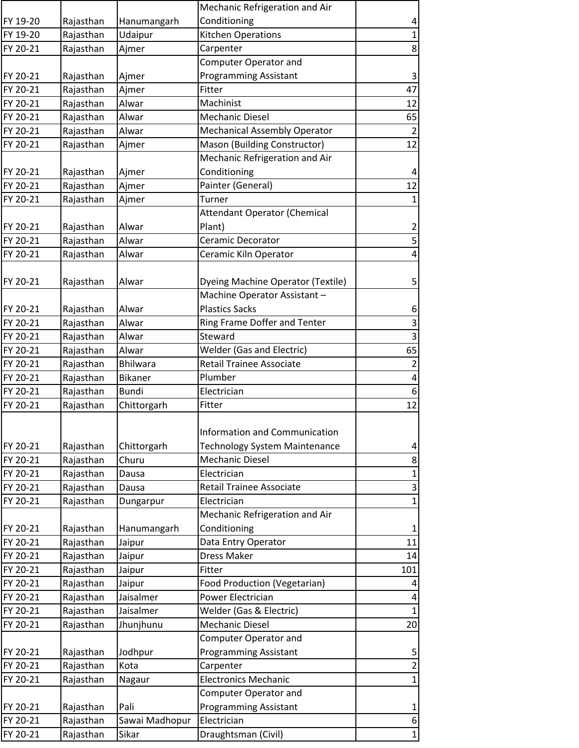|          |           |                | Mechanic Refrigeration and Air      |                           |
|----------|-----------|----------------|-------------------------------------|---------------------------|
| FY 19-20 | Rajasthan | Hanumangarh    | Conditioning                        | $\pmb{4}$                 |
| FY 19-20 | Rajasthan | Udaipur        | <b>Kitchen Operations</b>           | $\mathbf 1$               |
| FY 20-21 | Rajasthan | Ajmer          | Carpenter                           | 8                         |
|          |           |                | Computer Operator and               |                           |
| FY 20-21 | Rajasthan | Ajmer          | <b>Programming Assistant</b>        | $\ensuremath{\mathsf{3}}$ |
| FY 20-21 | Rajasthan | Ajmer          | Fitter                              | 47                        |
| FY 20-21 | Rajasthan | Alwar          | Machinist                           | 12                        |
| FY 20-21 | Rajasthan | Alwar          | <b>Mechanic Diesel</b>              | 65                        |
| FY 20-21 | Rajasthan | Alwar          | <b>Mechanical Assembly Operator</b> | $\overline{2}$            |
| FY 20-21 | Rajasthan | Ajmer          | Mason (Building Constructor)        | 12                        |
|          |           |                | Mechanic Refrigeration and Air      |                           |
| FY 20-21 | Rajasthan | Ajmer          | Conditioning                        | 4                         |
| FY 20-21 | Rajasthan | Ajmer          | Painter (General)                   | 12                        |
| FY 20-21 | Rajasthan | Ajmer          | Turner                              | $\mathbf{1}$              |
|          |           |                | <b>Attendant Operator (Chemical</b> |                           |
| FY 20-21 | Rajasthan | Alwar          | Plant)                              | $\overline{\mathbf{c}}$   |
| FY 20-21 | Rajasthan | Alwar          | Ceramic Decorator                   | 5                         |
| FY 20-21 | Rajasthan | Alwar          | Ceramic Kiln Operator               | 4                         |
|          |           |                |                                     |                           |
| FY 20-21 | Rajasthan | Alwar          | Dyeing Machine Operator (Textile)   | 5                         |
|          |           |                | Machine Operator Assistant-         |                           |
|          |           | Alwar          | <b>Plastics Sacks</b>               |                           |
| FY 20-21 | Rajasthan |                |                                     | $\boldsymbol{6}$          |
| FY 20-21 | Rajasthan | Alwar          | Ring Frame Doffer and Tenter        | 3                         |
| FY 20-21 | Rajasthan | Alwar          | Steward                             | $\overline{\mathbf{3}}$   |
| FY 20-21 | Rajasthan | Alwar          | <b>Welder (Gas and Electric)</b>    | 65                        |
| FY 20-21 | Rajasthan | Bhilwara       | <b>Retail Trainee Associate</b>     | $\overline{2}$            |
| FY 20-21 | Rajasthan | Bikaner        | Plumber                             | $\pmb{4}$                 |
| FY 20-21 | Rajasthan | <b>Bundi</b>   | Electrician                         | $\boldsymbol{6}$          |
| FY 20-21 | Rajasthan | Chittorgarh    | Fitter                              | 12                        |
|          |           |                |                                     |                           |
|          |           |                | Information and Communication       |                           |
| FY 20-21 | Rajasthan | Chittorgarh    | Technology System Maintenance       | 4                         |
| FY 20-21 | Rajasthan | Churu          | <b>Mechanic Diesel</b>              | $\bf 8$                   |
| FY 20-21 | Rajasthan | Dausa          | Electrician                         | $\mathbf{1}$              |
| FY 20-21 | Rajasthan | Dausa          | <b>Retail Trainee Associate</b>     | 3                         |
| FY 20-21 | Rajasthan | Dungarpur      | Electrician                         | $\mathbf{1}$              |
|          |           |                | Mechanic Refrigeration and Air      |                           |
| FY 20-21 | Rajasthan | Hanumangarh    | Conditioning                        | $\mathbf{1}$              |
| FY 20-21 | Rajasthan | Jaipur         | Data Entry Operator                 | 11                        |
| FY 20-21 | Rajasthan | Jaipur         | Dress Maker                         | 14                        |
| FY 20-21 | Rajasthan | Jaipur         | Fitter                              | 101                       |
| FY 20-21 | Rajasthan | Jaipur         | Food Production (Vegetarian)        | 4                         |
| FY 20-21 | Rajasthan | Jaisalmer      | Power Electrician                   | 4                         |
| FY 20-21 | Rajasthan | Jaisalmer      | Welder (Gas & Electric)             | $\mathbf{1}$              |
| FY 20-21 | Rajasthan | Jhunjhunu      | <b>Mechanic Diesel</b>              | 20                        |
|          |           |                | Computer Operator and               |                           |
| FY 20-21 | Rajasthan | Jodhpur        | <b>Programming Assistant</b>        | 5                         |
| FY 20-21 | Rajasthan | Kota           | Carpenter                           | $\overline{2}$            |
| FY 20-21 | Rajasthan | Nagaur         | <b>Electronics Mechanic</b>         | 1                         |
|          |           |                | <b>Computer Operator and</b>        |                           |
| FY 20-21 | Rajasthan | Pali           | <b>Programming Assistant</b>        | $\mathbf{1}$              |
| FY 20-21 | Rajasthan | Sawai Madhopur | Electrician                         | $\boldsymbol{6}$          |
| FY 20-21 | Rajasthan | Sikar          | Draughtsman (Civil)                 | $\mathbf 1$               |
|          |           |                |                                     |                           |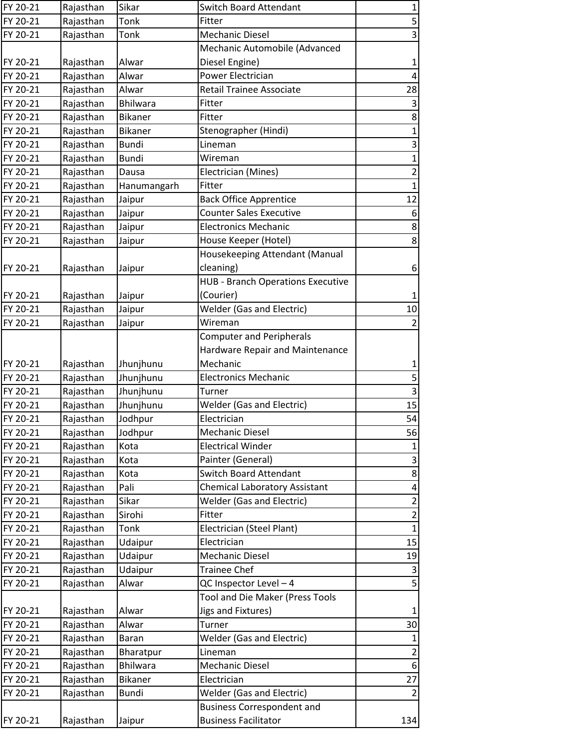| FY 20-21 | Rajasthan | Sikar           | <b>Switch Board Attendant</b>            | $\mathbf{1}$              |
|----------|-----------|-----------------|------------------------------------------|---------------------------|
| FY 20-21 | Rajasthan | Tonk            | Fitter                                   | 5                         |
| FY 20-21 | Rajasthan | Tonk            | <b>Mechanic Diesel</b>                   | 3                         |
|          |           |                 | Mechanic Automobile (Advanced            |                           |
| FY 20-21 | Rajasthan | Alwar           | Diesel Engine)                           | $\mathbf{1}$              |
| FY 20-21 | Rajasthan | Alwar           | Power Electrician                        | 4                         |
| FY 20-21 | Rajasthan | Alwar           | <b>Retail Trainee Associate</b>          | 28                        |
| FY 20-21 | Rajasthan | <b>Bhilwara</b> | Fitter                                   | $\ensuremath{\mathsf{3}}$ |
| FY 20-21 | Rajasthan | <b>Bikaner</b>  | Fitter                                   | $\bf 8$                   |
| FY 20-21 | Rajasthan | <b>Bikaner</b>  | Stenographer (Hindi)                     | $\mathbf{1}$              |
| FY 20-21 | Rajasthan | <b>Bundi</b>    | Lineman                                  | 3                         |
| FY 20-21 | Rajasthan | <b>Bundi</b>    | Wireman                                  | $\mathbf{1}$              |
| FY 20-21 | Rajasthan | Dausa           | Electrician (Mines)                      | $\overline{2}$            |
| FY 20-21 | Rajasthan | Hanumangarh     | Fitter                                   | $\mathbf 1$               |
| FY 20-21 | Rajasthan | Jaipur          | <b>Back Office Apprentice</b>            | 12                        |
| FY 20-21 | Rajasthan | Jaipur          | <b>Counter Sales Executive</b>           | $\boldsymbol{6}$          |
| FY 20-21 | Rajasthan | Jaipur          | <b>Electronics Mechanic</b>              | 8                         |
| FY 20-21 | Rajasthan | Jaipur          | House Keeper (Hotel)                     | 8                         |
|          |           |                 | Housekeeping Attendant (Manual           |                           |
| FY 20-21 | Rajasthan | Jaipur          | cleaning)                                | 6                         |
|          |           |                 | <b>HUB - Branch Operations Executive</b> |                           |
| FY 20-21 | Rajasthan | Jaipur          | (Courier)                                | $\mathbf{1}$              |
| FY 20-21 | Rajasthan | Jaipur          | <b>Welder (Gas and Electric)</b>         | $10\,$                    |
| FY 20-21 | Rajasthan | Jaipur          | Wireman                                  | 2                         |
|          |           |                 | <b>Computer and Peripherals</b>          |                           |
|          |           |                 | Hardware Repair and Maintenance          |                           |
| FY 20-21 | Rajasthan | Jhunjhunu       | Mechanic                                 | $\mathbf{1}$              |
| FY 20-21 | Rajasthan | Jhunjhunu       | <b>Electronics Mechanic</b>              | $\mathsf S$               |
| FY 20-21 | Rajasthan | Jhunjhunu       | Turner                                   | 3                         |
| FY 20-21 | Rajasthan | Jhunjhunu       | <b>Welder (Gas and Electric)</b>         | 15                        |
| FY 20-21 | Rajasthan | Jodhpur         | Electrician                              | 54                        |
| FY 20-21 | Rajasthan | Jodhpur         | Mechanic Diesel                          | 56                        |
| FY 20-21 | Rajasthan | Kota            | <b>Electrical Winder</b>                 | $\mathbf{1}$              |
| FY 20-21 | Rajasthan | Kota            | Painter (General)                        | 3                         |
| FY 20-21 | Rajasthan | Kota            | <b>Switch Board Attendant</b>            | 8                         |
| FY 20-21 | Rajasthan | Pali            | <b>Chemical Laboratory Assistant</b>     | 4                         |
| FY 20-21 | Rajasthan | Sikar           | <b>Welder (Gas and Electric)</b>         | $\overline{\mathbf{c}}$   |
| FY 20-21 | Rajasthan | Sirohi          | Fitter                                   | $\overline{2}$            |
| FY 20-21 | Rajasthan | Tonk            | Electrician (Steel Plant)                | $\mathbf{1}$              |
| FY 20-21 | Rajasthan | Udaipur         | Electrician                              | 15                        |
| FY 20-21 | Rajasthan | Udaipur         | <b>Mechanic Diesel</b>                   | 19                        |
| FY 20-21 | Rajasthan | Udaipur         | <b>Trainee Chef</b>                      | 3                         |
| FY 20-21 | Rajasthan | Alwar           | QC Inspector Level - 4                   | 5                         |
|          |           |                 | Tool and Die Maker (Press Tools          |                           |
| FY 20-21 | Rajasthan | Alwar           | <b>Jigs and Fixtures)</b>                | $\mathbf{1}$              |
| FY 20-21 | Rajasthan | Alwar           | Turner                                   | 30                        |
| FY 20-21 | Rajasthan | <b>Baran</b>    | <b>Welder (Gas and Electric)</b>         | $\mathbf{1}$              |
| FY 20-21 | Rajasthan | Bharatpur       | Lineman                                  | $\overline{2}$            |
| FY 20-21 | Rajasthan | Bhilwara        | Mechanic Diesel                          | 6                         |
| FY 20-21 | Rajasthan | <b>Bikaner</b>  | Electrician                              | 27                        |
| FY 20-21 | Rajasthan | <b>Bundi</b>    | <b>Welder (Gas and Electric)</b>         | $\overline{2}$            |
|          |           |                 | <b>Business Correspondent and</b>        |                           |
| FY 20-21 | Rajasthan | Jaipur          | <b>Business Facilitator</b>              | 134                       |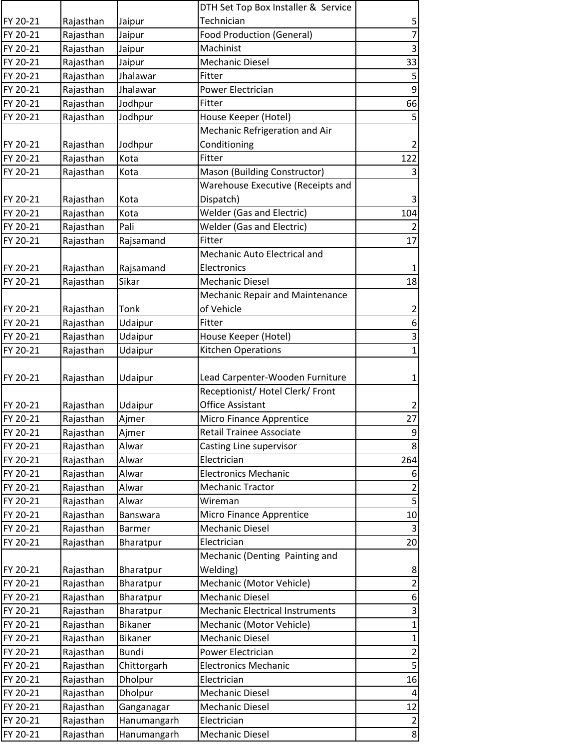|          |           |                 | DTH Set Top Box Installer & Service    |                         |
|----------|-----------|-----------------|----------------------------------------|-------------------------|
| FY 20-21 | Rajasthan | Jaipur          | Technician                             | 5                       |
| FY 20-21 | Rajasthan | Jaipur          | <b>Food Production (General)</b>       | $\overline{7}$          |
| FY 20-21 | Rajasthan | Jaipur          | Machinist                              | $\mathbf{3}$            |
| FY 20-21 | Rajasthan | Jaipur          | <b>Mechanic Diesel</b>                 | 33                      |
| FY 20-21 | Rajasthan | Jhalawar        | Fitter                                 | 5                       |
| FY 20-21 | Rajasthan | Jhalawar        | Power Electrician                      | 9                       |
| FY 20-21 | Rajasthan | Jodhpur         | Fitter                                 | 66                      |
| FY 20-21 | Rajasthan | Jodhpur         | House Keeper (Hotel)                   | 5                       |
|          |           |                 | Mechanic Refrigeration and Air         |                         |
| FY 20-21 | Rajasthan | Jodhpur         | Conditioning                           | $\overline{2}$          |
| FY 20-21 | Rajasthan | Kota            | Fitter                                 | 122                     |
| FY 20-21 | Rajasthan | Kota            | Mason (Building Constructor)           | 3                       |
|          |           |                 | Warehouse Executive (Receipts and      |                         |
| FY 20-21 | Rajasthan | Kota            | Dispatch)                              | 3                       |
| FY 20-21 | Rajasthan | Kota            | <b>Welder (Gas and Electric)</b>       | 104                     |
| FY 20-21 | Rajasthan | Pali            | <b>Welder (Gas and Electric)</b>       | $\overline{2}$          |
| FY 20-21 | Rajasthan | Rajsamand       | Fitter                                 | 17                      |
|          |           |                 | Mechanic Auto Electrical and           |                         |
| FY 20-21 | Rajasthan | Rajsamand       | Electronics                            | $\mathbf 1$             |
| FY 20-21 | Rajasthan | Sikar           | <b>Mechanic Diesel</b>                 | 18                      |
|          |           |                 | Mechanic Repair and Maintenance        |                         |
| FY 20-21 | Rajasthan | Tonk            | of Vehicle                             | $\overline{\mathbf{c}}$ |
| FY 20-21 | Rajasthan | Udaipur         | Fitter                                 | 6                       |
| FY 20-21 | Rajasthan | Udaipur         | House Keeper (Hotel)                   | 3                       |
| FY 20-21 | Rajasthan | Udaipur         | Kitchen Operations                     | $\mathbf 1$             |
|          |           |                 |                                        |                         |
| FY 20-21 | Rajasthan | Udaipur         | Lead Carpenter-Wooden Furniture        | $\mathbf 1$             |
|          |           |                 | Receptionist/ Hotel Clerk/ Front       |                         |
| FY 20-21 | Rajasthan | Udaipur         | <b>Office Assistant</b>                | $\overline{2}$          |
| FY 20-21 | Rajasthan | Ajmer           | Micro Finance Apprentice               | 27                      |
| FY 20-21 | Rajasthan | Ajmer           | <b>Retail Trainee Associate</b>        | 9                       |
| FY 20-21 | Rajasthan | Alwar           | Casting Line supervisor                | 8                       |
| FY 20-21 | Rajasthan | Alwar           | Electrician                            | 264                     |
| FY 20-21 | Rajasthan | Alwar           | <b>Electronics Mechanic</b>            | 6                       |
| FY 20-21 | Rajasthan | Alwar           | <b>Mechanic Tractor</b>                | $\overline{\mathbf{c}}$ |
| FY 20-21 | Rajasthan | Alwar           | Wireman                                | 5                       |
| FY 20-21 | Rajasthan | <b>Banswara</b> | Micro Finance Apprentice               | 10                      |
| FY 20-21 | Rajasthan | <b>Barmer</b>   | Mechanic Diesel                        | $\overline{3}$          |
| FY 20-21 | Rajasthan | Bharatpur       | Electrician                            | 20                      |
|          |           |                 | Mechanic (Denting Painting and         |                         |
| FY 20-21 | Rajasthan | Bharatpur       | Welding)                               | 8                       |
| FY 20-21 | Rajasthan | Bharatpur       | Mechanic (Motor Vehicle)               | $\overline{2}$          |
| FY 20-21 | Rajasthan | Bharatpur       | <b>Mechanic Diesel</b>                 | 6                       |
| FY 20-21 | Rajasthan | Bharatpur       | <b>Mechanic Electrical Instruments</b> | 3                       |
| FY 20-21 | Rajasthan | <b>Bikaner</b>  | Mechanic (Motor Vehicle)               | $\mathbf 1$             |
| FY 20-21 | Rajasthan | Bikaner         | Mechanic Diesel                        | 1                       |
| FY 20-21 | Rajasthan | <b>Bundi</b>    | Power Electrician                      | $\overline{2}$          |
| FY 20-21 | Rajasthan | Chittorgarh     | <b>Electronics Mechanic</b>            | 5                       |
| FY 20-21 | Rajasthan | Dholpur         | Electrician                            | 16                      |
| FY 20-21 | Rajasthan | Dholpur         | <b>Mechanic Diesel</b>                 | $\overline{4}$          |
| FY 20-21 | Rajasthan | Ganganagar      | Mechanic Diesel                        | 12                      |
| FY 20-21 | Rajasthan | Hanumangarh     | Electrician                            | $\overline{2}$          |
| FY 20-21 | Rajasthan | Hanumangarh     | Mechanic Diesel                        | 8                       |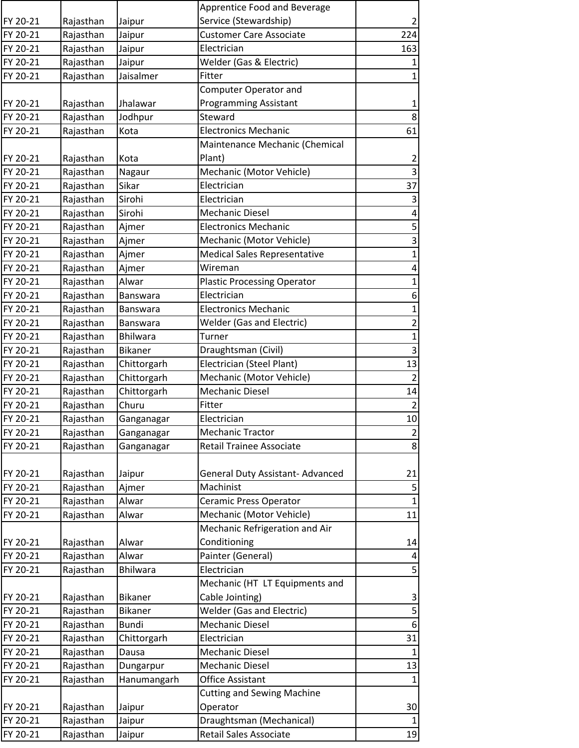|          |           |                 | Apprentice Food and Beverage        |                         |
|----------|-----------|-----------------|-------------------------------------|-------------------------|
| FY 20-21 | Rajasthan | Jaipur          | Service (Stewardship)               | $\overline{2}$          |
| FY 20-21 | Rajasthan | Jaipur          | <b>Customer Care Associate</b>      | 224                     |
| FY 20-21 | Rajasthan | Jaipur          | Electrician                         | 163                     |
| FY 20-21 | Rajasthan | Jaipur          | Welder (Gas & Electric)             | 1                       |
| FY 20-21 | Rajasthan | Jaisalmer       | Fitter                              | 1                       |
|          |           |                 | Computer Operator and               |                         |
| FY 20-21 | Rajasthan | Jhalawar        | <b>Programming Assistant</b>        | $\mathbf{1}$            |
| FY 20-21 | Rajasthan | Jodhpur         | Steward                             | $\bf 8$                 |
| FY 20-21 | Rajasthan | Kota            | <b>Electronics Mechanic</b>         | 61                      |
|          |           |                 | Maintenance Mechanic (Chemical      |                         |
| FY 20-21 | Rajasthan | Kota            | Plant)                              | $\overline{2}$          |
| FY 20-21 | Rajasthan | Nagaur          | Mechanic (Motor Vehicle)            | $\overline{3}$          |
| FY 20-21 | Rajasthan | Sikar           | Electrician                         | 37                      |
| FY 20-21 | Rajasthan | Sirohi          | Electrician                         | 3                       |
| FY 20-21 | Rajasthan | Sirohi          | <b>Mechanic Diesel</b>              | 4                       |
| FY 20-21 | Rajasthan | Ajmer           | <b>Electronics Mechanic</b>         | 5                       |
| FY 20-21 | Rajasthan | Ajmer           | Mechanic (Motor Vehicle)            | 3                       |
| FY 20-21 | Rajasthan | Ajmer           | <b>Medical Sales Representative</b> | $\mathbf{1}$            |
| FY 20-21 | Rajasthan | Ajmer           | Wireman                             | 4                       |
| FY 20-21 | Rajasthan | Alwar           | <b>Plastic Processing Operator</b>  | $\mathbf{1}$            |
| FY 20-21 | Rajasthan | <b>Banswara</b> | Electrician                         | 6                       |
| FY 20-21 | Rajasthan | Banswara        | <b>Electronics Mechanic</b>         | $\mathbf{1}$            |
| FY 20-21 | Rajasthan | <b>Banswara</b> | <b>Welder (Gas and Electric)</b>    | $\overline{\mathbf{c}}$ |
| FY 20-21 | Rajasthan | <b>Bhilwara</b> | Turner                              | $\mathbf{1}$            |
| FY 20-21 | Rajasthan | Bikaner         | Draughtsman (Civil)                 | $\mathsf{3}$            |
| FY 20-21 | Rajasthan | Chittorgarh     | Electrician (Steel Plant)           | 13                      |
| FY 20-21 | Rajasthan | Chittorgarh     | Mechanic (Motor Vehicle)            | $\overline{2}$          |
| FY 20-21 | Rajasthan | Chittorgarh     | <b>Mechanic Diesel</b>              | 14                      |
| FY 20-21 | Rajasthan | Churu           | Fitter                              | $\overline{2}$          |
| FY 20-21 | Rajasthan | Ganganagar      | Electrician                         | $10\,$                  |
| FY 20-21 | Rajasthan | Ganganagar      | <b>Mechanic Tractor</b>             | $\overline{2}$          |
| FY 20-21 | Rajasthan | Ganganagar      | Retail Trainee Associate            | 8                       |
|          |           |                 |                                     |                         |
| FY 20-21 | Rajasthan | Jaipur          | General Duty Assistant- Advanced    | 21                      |
| FY 20-21 | Rajasthan | Ajmer           | Machinist                           | 5                       |
| FY 20-21 | Rajasthan | Alwar           | Ceramic Press Operator              | $\mathbf{1}$            |
| FY 20-21 | Rajasthan | Alwar           | Mechanic (Motor Vehicle)            | 11                      |
|          |           |                 | Mechanic Refrigeration and Air      |                         |
| FY 20-21 | Rajasthan | Alwar           | Conditioning                        | 14                      |
| FY 20-21 | Rajasthan | Alwar           | Painter (General)                   | 4                       |
| FY 20-21 | Rajasthan | Bhilwara        | Electrician                         | 5                       |
|          |           |                 | Mechanic (HT LT Equipments and      |                         |
| FY 20-21 | Rajasthan | <b>Bikaner</b>  | Cable Jointing)                     | 3                       |
| FY 20-21 | Rajasthan | Bikaner         | <b>Welder (Gas and Electric)</b>    | 5                       |
| FY 20-21 | Rajasthan | <b>Bundi</b>    | <b>Mechanic Diesel</b>              | $\boldsymbol{6}$        |
| FY 20-21 | Rajasthan | Chittorgarh     | Electrician                         | 31                      |
| FY 20-21 | Rajasthan | Dausa           | <b>Mechanic Diesel</b>              | $\mathbf{1}$            |
| FY 20-21 | Rajasthan | Dungarpur       | <b>Mechanic Diesel</b>              | 13                      |
| FY 20-21 | Rajasthan | Hanumangarh     | Office Assistant                    | 1                       |
|          |           |                 | <b>Cutting and Sewing Machine</b>   |                         |
| FY 20-21 | Rajasthan | Jaipur          | Operator                            | 30                      |
| FY 20-21 | Rajasthan | Jaipur          | Draughtsman (Mechanical)            | $\mathbf{1}$            |
| FY 20-21 | Rajasthan | Jaipur          | Retail Sales Associate              | 19                      |
|          |           |                 |                                     |                         |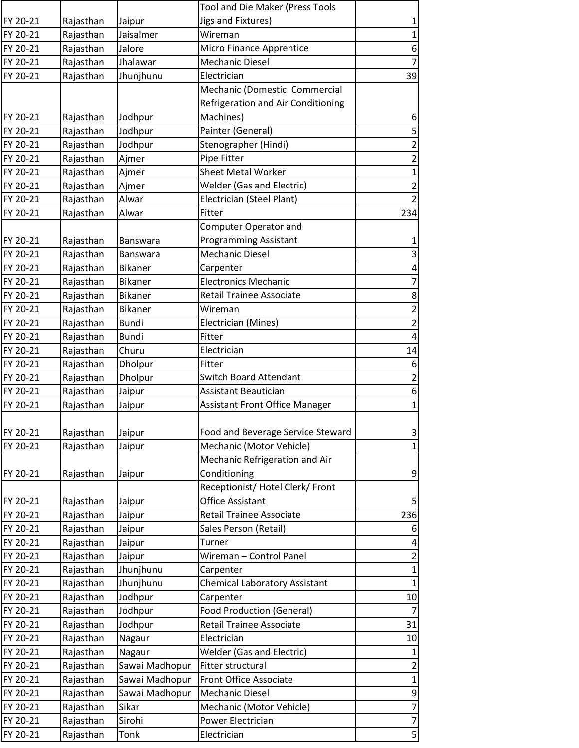|          |           |                 | Tool and Die Maker (Press Tools       |                          |
|----------|-----------|-----------------|---------------------------------------|--------------------------|
| FY 20-21 | Rajasthan | Jaipur          | Jigs and Fixtures)                    | $\mathbf{1}$             |
| FY 20-21 | Rajasthan | Jaisalmer       | Wireman                               | $\mathbf 1$              |
| FY 20-21 | Rajasthan | Jalore          | Micro Finance Apprentice              | $\boldsymbol{6}$         |
| FY 20-21 | Rajasthan | Jhalawar        | <b>Mechanic Diesel</b>                | $\overline{\mathcal{I}}$ |
| FY 20-21 | Rajasthan | Jhunjhunu       | Electrician                           | 39                       |
|          |           |                 | Mechanic (Domestic Commercial         |                          |
|          |           |                 | Refrigeration and Air Conditioning    |                          |
| FY 20-21 | Rajasthan | Jodhpur         | Machines)                             | 6                        |
| FY 20-21 | Rajasthan | Jodhpur         | Painter (General)                     | $\mathsf S$              |
| FY 20-21 | Rajasthan | Jodhpur         | Stenographer (Hindi)                  | $\overline{\mathbf{c}}$  |
| FY 20-21 | Rajasthan | Ajmer           | Pipe Fitter                           | $\overline{\mathbf{c}}$  |
| FY 20-21 | Rajasthan | Ajmer           | <b>Sheet Metal Worker</b>             | $\mathbf{1}$             |
| FY 20-21 | Rajasthan | Ajmer           | <b>Welder (Gas and Electric)</b>      | $\overline{\mathbf{c}}$  |
| FY 20-21 | Rajasthan | Alwar           | Electrician (Steel Plant)             | $\overline{2}$           |
| FY 20-21 | Rajasthan | Alwar           | Fitter                                | 234                      |
|          |           |                 | <b>Computer Operator and</b>          |                          |
| FY 20-21 | Rajasthan | <b>Banswara</b> | <b>Programming Assistant</b>          | $\mathbf{1}$             |
| FY 20-21 | Rajasthan | <b>Banswara</b> | <b>Mechanic Diesel</b>                | 3                        |
| FY 20-21 | Rajasthan | <b>Bikaner</b>  | Carpenter                             | 4                        |
| FY 20-21 | Rajasthan | Bikaner         | <b>Electronics Mechanic</b>           | $\overline{7}$           |
| FY 20-21 | Rajasthan | <b>Bikaner</b>  | Retail Trainee Associate              | 8                        |
| FY 20-21 | Rajasthan | <b>Bikaner</b>  | Wireman                               | $\overline{2}$           |
| FY 20-21 | Rajasthan | <b>Bundi</b>    | Electrician (Mines)                   | $\overline{c}$           |
| FY 20-21 | Rajasthan | <b>Bundi</b>    | Fitter                                | 4                        |
| FY 20-21 | Rajasthan | Churu           | Electrician                           | 14                       |
| FY 20-21 | Rajasthan | Dholpur         | Fitter                                | $\boldsymbol{6}$         |
| FY 20-21 | Rajasthan | Dholpur         | <b>Switch Board Attendant</b>         | $\overline{2}$           |
| FY 20-21 | Rajasthan | Jaipur          | <b>Assistant Beautician</b>           | $\boldsymbol{6}$         |
| FY 20-21 | Rajasthan | Jaipur          | <b>Assistant Front Office Manager</b> | $\mathbf{1}$             |
|          |           |                 |                                       |                          |
| FY 20-21 | Rajasthan | Jaipur          | Food and Beverage Service Steward     | 3                        |
| FY 20-21 | Rajasthan | Jaipur          | Mechanic (Motor Vehicle)              | $\mathbf{1}$             |
|          |           |                 | Mechanic Refrigeration and Air        |                          |
| FY 20-21 | Rajasthan | Jaipur          | Conditioning                          | $\boldsymbol{9}$         |
|          |           |                 | Receptionist/ Hotel Clerk/ Front      |                          |
| FY 20-21 | Rajasthan | Jaipur          | Office Assistant                      | 5                        |
| FY 20-21 | Rajasthan | Jaipur          | Retail Trainee Associate              | 236                      |
| FY 20-21 | Rajasthan | Jaipur          | Sales Person (Retail)                 | 6                        |
| FY 20-21 | Rajasthan | Jaipur          | Turner                                | 4                        |
| FY 20-21 | Rajasthan | Jaipur          | Wireman - Control Panel               | $\overline{2}$           |
| FY 20-21 | Rajasthan | Jhunjhunu       | Carpenter                             | $\mathbf{1}$             |
| FY 20-21 | Rajasthan | Jhunjhunu       | <b>Chemical Laboratory Assistant</b>  | $\mathbf{1}$             |
| FY 20-21 | Rajasthan | Jodhpur         | Carpenter                             | 10                       |
| FY 20-21 | Rajasthan | Jodhpur         | <b>Food Production (General)</b>      | $\overline{7}$           |
| FY 20-21 | Rajasthan | Jodhpur         | Retail Trainee Associate              | 31                       |
| FY 20-21 | Rajasthan | Nagaur          | Electrician                           | 10                       |
| FY 20-21 | Rajasthan | Nagaur          | <b>Welder (Gas and Electric)</b>      | $\mathbf{1}$             |
| FY 20-21 | Rajasthan | Sawai Madhopur  | Fitter structural                     | 2                        |
| FY 20-21 | Rajasthan | Sawai Madhopur  | <b>Front Office Associate</b>         | $\mathbf{1}$             |
| FY 20-21 | Rajasthan | Sawai Madhopur  | <b>Mechanic Diesel</b>                | 9                        |
| FY 20-21 | Rajasthan | Sikar           | Mechanic (Motor Vehicle)              | $\overline{7}$           |
| FY 20-21 | Rajasthan | Sirohi          | Power Electrician                     | $\overline{7}$           |
| FY 20-21 | Rajasthan | Tonk            | Electrician                           | 5                        |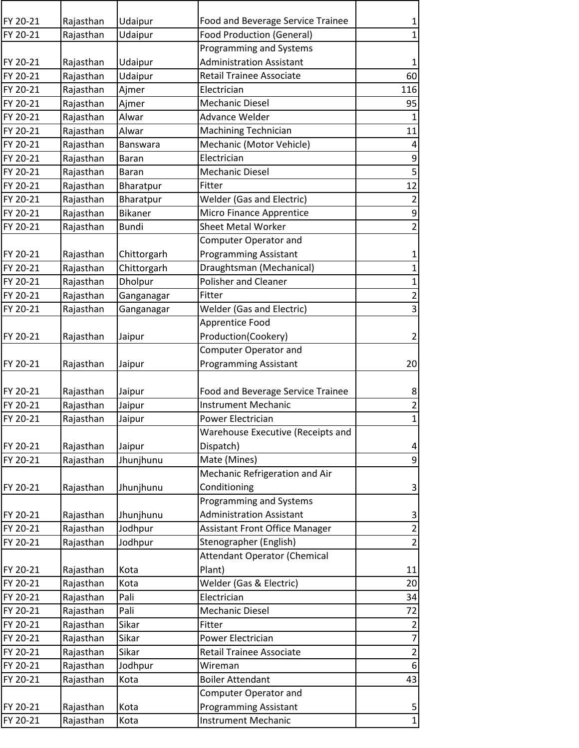| FY 20-21 | Rajasthan | Udaipur         | Food and Beverage Service Trainee     | $\mathbf{1}$             |
|----------|-----------|-----------------|---------------------------------------|--------------------------|
| FY 20-21 | Rajasthan | Udaipur         | <b>Food Production (General)</b>      | $\mathbf{1}$             |
|          |           |                 | Programming and Systems               |                          |
| FY 20-21 | Rajasthan | Udaipur         | <b>Administration Assistant</b>       | $\mathbf 1$              |
| FY 20-21 | Rajasthan | Udaipur         | Retail Trainee Associate              | 60                       |
| FY 20-21 | Rajasthan | Ajmer           | Electrician                           | 116                      |
| FY 20-21 | Rajasthan | Ajmer           | <b>Mechanic Diesel</b>                | 95                       |
| FY 20-21 | Rajasthan | Alwar           | Advance Welder                        | $\mathbf{1}$             |
| FY 20-21 | Rajasthan | Alwar           | <b>Machining Technician</b>           | 11                       |
| FY 20-21 | Rajasthan | <b>Banswara</b> | Mechanic (Motor Vehicle)              | 4                        |
| FY 20-21 | Rajasthan | <b>Baran</b>    | Electrician                           | 9                        |
| FY 20-21 | Rajasthan | <b>Baran</b>    | <b>Mechanic Diesel</b>                | 5                        |
| FY 20-21 | Rajasthan | Bharatpur       | Fitter                                | 12                       |
| FY 20-21 | Rajasthan | Bharatpur       | <b>Welder (Gas and Electric)</b>      | $\overline{2}$           |
| FY 20-21 | Rajasthan | <b>Bikaner</b>  | Micro Finance Apprentice              | 9                        |
| FY 20-21 | Rajasthan | <b>Bundi</b>    | <b>Sheet Metal Worker</b>             | $\overline{2}$           |
|          |           |                 | <b>Computer Operator and</b>          |                          |
| FY 20-21 | Rajasthan | Chittorgarh     | <b>Programming Assistant</b>          | $\mathbf 1$              |
| FY 20-21 | Rajasthan | Chittorgarh     | Draughtsman (Mechanical)              | $\mathbf{1}$             |
| FY 20-21 | Rajasthan | Dholpur         | <b>Polisher and Cleaner</b>           | $\mathbf 1$              |
| FY 20-21 | Rajasthan | Ganganagar      | Fitter                                | $\overline{2}$           |
| FY 20-21 | Rajasthan | Ganganagar      | <b>Welder (Gas and Electric)</b>      | 3                        |
|          |           |                 | Apprentice Food                       |                          |
| FY 20-21 | Rajasthan | Jaipur          | Production(Cookery)                   | $\overline{2}$           |
|          |           |                 | <b>Computer Operator and</b>          |                          |
| FY 20-21 | Rajasthan | Jaipur          | <b>Programming Assistant</b>          | 20                       |
|          |           |                 |                                       |                          |
| FY 20-21 | Rajasthan | Jaipur          | Food and Beverage Service Trainee     | 8                        |
| FY 20-21 | Rajasthan | Jaipur          | <b>Instrument Mechanic</b>            | $\overline{2}$           |
| FY 20-21 | Rajasthan | Jaipur          | Power Electrician                     | $\mathbf{1}$             |
|          |           |                 | Warehouse Executive (Receipts and     |                          |
| FY 20-21 | Rajasthan | Jaipur          | Dispatch)                             | $\overline{\mathbf{4}}$  |
| FY 20-21 | Rajasthan | Jhunjhunu       | Mate (Mines)                          | $\overline{9}$           |
|          |           |                 | Mechanic Refrigeration and Air        |                          |
| FY 20-21 | Rajasthan | Jhunjhunu       | Conditioning                          | 3                        |
|          |           |                 | Programming and Systems               |                          |
| FY 20-21 | Rajasthan | Jhunjhunu       | <b>Administration Assistant</b>       | 3                        |
| FY 20-21 | Rajasthan | Jodhpur         | <b>Assistant Front Office Manager</b> | $\overline{2}$           |
| FY 20-21 | Rajasthan | Jodhpur         | Stenographer (English)                | $\overline{2}$           |
|          |           |                 | <b>Attendant Operator (Chemical</b>   |                          |
| FY 20-21 | Rajasthan | Kota            | Plant)                                | 11                       |
| FY 20-21 | Rajasthan | Kota            | Welder (Gas & Electric)               | 20                       |
| FY 20-21 | Rajasthan | Pali            | Electrician                           | 34                       |
| FY 20-21 | Rajasthan | Pali            | <b>Mechanic Diesel</b>                | 72                       |
| FY 20-21 | Rajasthan | Sikar           | Fitter                                | $\overline{2}$           |
| FY 20-21 | Rajasthan | Sikar           | Power Electrician                     | $\overline{\mathcal{I}}$ |
| FY 20-21 | Rajasthan | Sikar           | Retail Trainee Associate              | $\overline{\mathbf{c}}$  |
| FY 20-21 | Rajasthan | Jodhpur         | Wireman                               | 6                        |
| FY 20-21 | Rajasthan | Kota            | <b>Boiler Attendant</b>               | 43                       |
|          |           |                 | <b>Computer Operator and</b>          |                          |
| FY 20-21 | Rajasthan | Kota            | <b>Programming Assistant</b>          | 5                        |
| FY 20-21 | Rajasthan | Kota            | <b>Instrument Mechanic</b>            | $\mathbf 1$              |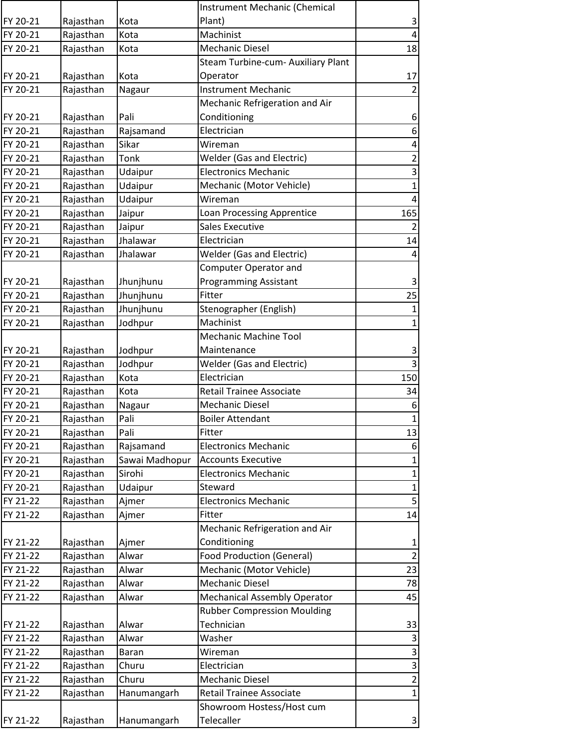|          |           |                | Instrument Mechanic (Chemical       |                         |
|----------|-----------|----------------|-------------------------------------|-------------------------|
| FY 20-21 | Rajasthan | Kota           | Plant)                              | $\mathsf{3}$            |
| FY 20-21 | Rajasthan | Kota           | Machinist                           | $\overline{4}$          |
| FY 20-21 | Rajasthan | Kota           | <b>Mechanic Diesel</b>              | 18                      |
|          |           |                | Steam Turbine-cum- Auxiliary Plant  |                         |
| FY 20-21 | Rajasthan | Kota           | Operator                            | 17                      |
| FY 20-21 | Rajasthan | Nagaur         | <b>Instrument Mechanic</b>          | 2                       |
|          |           |                | Mechanic Refrigeration and Air      |                         |
| FY 20-21 | Rajasthan | Pali           | Conditioning                        | $\boldsymbol{6}$        |
| FY 20-21 | Rajasthan | Rajsamand      | Electrician                         | $\boldsymbol{6}$        |
| FY 20-21 | Rajasthan | Sikar          | Wireman                             | $\overline{\mathbf{r}}$ |
| FY 20-21 | Rajasthan | Tonk           | <b>Welder (Gas and Electric)</b>    | $\overline{\mathbf{c}}$ |
| FY 20-21 | Rajasthan | Udaipur        | <b>Electronics Mechanic</b>         | 3                       |
| FY 20-21 | Rajasthan | Udaipur        | Mechanic (Motor Vehicle)            | $\mathbf 1$             |
| FY 20-21 | Rajasthan | Udaipur        | Wireman                             | $\overline{4}$          |
| FY 20-21 | Rajasthan | Jaipur         | Loan Processing Apprentice          | 165                     |
| FY 20-21 | Rajasthan | Jaipur         | <b>Sales Executive</b>              | $\overline{2}$          |
| FY 20-21 | Rajasthan | Jhalawar       | Electrician                         | 14                      |
| FY 20-21 | Rajasthan | Jhalawar       | <b>Welder (Gas and Electric)</b>    | $\overline{\mathbf{4}}$ |
|          |           |                | Computer Operator and               |                         |
| FY 20-21 | Rajasthan | Jhunjhunu      | <b>Programming Assistant</b>        | $\mathbf{3}$            |
| FY 20-21 | Rajasthan | Jhunjhunu      | Fitter                              | 25                      |
| FY 20-21 | Rajasthan | Jhunjhunu      | Stenographer (English)              | $\mathbf{1}$            |
| FY 20-21 | Rajasthan | Jodhpur        | Machinist                           | $\mathbf{1}$            |
|          |           |                | <b>Mechanic Machine Tool</b>        |                         |
| FY 20-21 | Rajasthan | Jodhpur        | Maintenance                         | 3                       |
| FY 20-21 | Rajasthan | Jodhpur        | <b>Welder (Gas and Electric)</b>    | $\overline{3}$          |
| FY 20-21 | Rajasthan | Kota           | Electrician                         | 150                     |
| FY 20-21 | Rajasthan | Kota           | Retail Trainee Associate            | 34                      |
| FY 20-21 | Rajasthan | Nagaur         | <b>Mechanic Diesel</b>              | 6                       |
| FY 20-21 | Rajasthan | Pali           | <b>Boiler Attendant</b>             | $\mathbf 1$             |
| FY 20-21 | Rajasthan | Pali           | Fitter                              | 13                      |
| FY 20-21 | Rajasthan | Rajsamand      | <b>Electronics Mechanic</b>         | 6                       |
| FY 20-21 | Rajasthan | Sawai Madhopur | <b>Accounts Executive</b>           | $\mathbf{1}$            |
| FY 20-21 | Rajasthan | Sirohi         | <b>Electronics Mechanic</b>         | $\mathbf{1}$            |
| FY 20-21 | Rajasthan | Udaipur        | Steward                             | $\mathbf{1}$            |
| FY 21-22 | Rajasthan | Ajmer          | <b>Electronics Mechanic</b>         | $\mathsf S$             |
| FY 21-22 | Rajasthan | Ajmer          | Fitter                              | 14                      |
|          |           |                | Mechanic Refrigeration and Air      |                         |
| FY 21-22 | Rajasthan | Ajmer          | Conditioning                        | $\mathbf{1}$            |
| FY 21-22 | Rajasthan | Alwar          | <b>Food Production (General)</b>    | $\overline{2}$          |
| FY 21-22 | Rajasthan | Alwar          | Mechanic (Motor Vehicle)            | 23                      |
| FY 21-22 | Rajasthan | Alwar          | <b>Mechanic Diesel</b>              | 78                      |
| FY 21-22 | Rajasthan | Alwar          | <b>Mechanical Assembly Operator</b> | 45                      |
|          |           |                | <b>Rubber Compression Moulding</b>  |                         |
| FY 21-22 | Rajasthan | Alwar          | Technician                          | 33                      |
| FY 21-22 | Rajasthan | Alwar          | Washer                              | 3                       |
| FY 21-22 | Rajasthan | <b>Baran</b>   | Wireman                             | $\mathsf 3$             |
| FY 21-22 | Rajasthan | Churu          | Electrician                         | $\mathsf 3$             |
| FY 21-22 | Rajasthan | Churu          | <b>Mechanic Diesel</b>              | $\overline{\mathbf{c}}$ |
| FY 21-22 | Rajasthan | Hanumangarh    | <b>Retail Trainee Associate</b>     | $\mathbf{1}$            |
|          |           |                | Showroom Hostess/Host cum           |                         |
| FY 21-22 | Rajasthan | Hanumangarh    | Telecaller                          | $\mathbf{3}$            |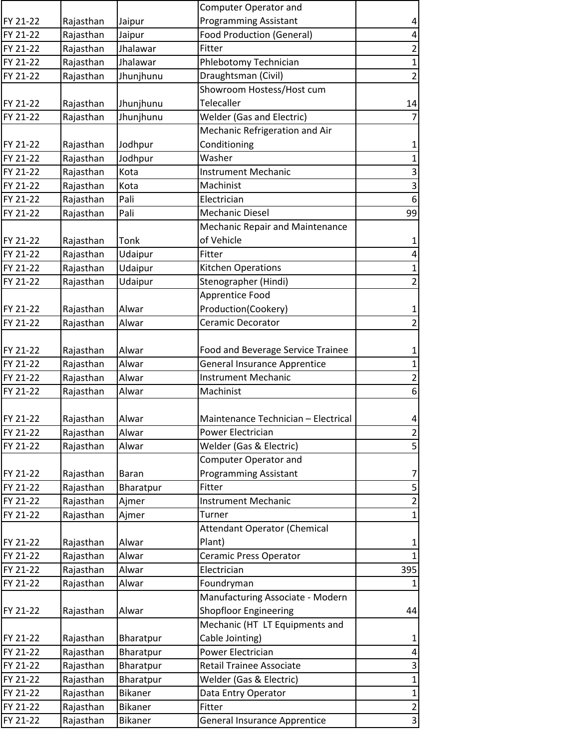|                      |           |                | Computer Operator and               |                         |
|----------------------|-----------|----------------|-------------------------------------|-------------------------|
| FY 21-22             | Rajasthan | Jaipur         | <b>Programming Assistant</b>        | 4                       |
| FY 21-22             | Rajasthan | Jaipur         | <b>Food Production (General)</b>    | 4                       |
| FY 21-22             | Rajasthan | Jhalawar       | Fitter                              | $\overline{2}$          |
| FY 21-22             | Rajasthan | Jhalawar       | Phlebotomy Technician               | $\mathbf{1}$            |
| FY 21-22             | Rajasthan | Jhunjhunu      | Draughtsman (Civil)                 | $\overline{2}$          |
|                      |           |                | Showroom Hostess/Host cum           |                         |
| FY 21-22             | Rajasthan | Jhunjhunu      | Telecaller                          | 14                      |
| FY 21-22             | Rajasthan | Jhunjhunu      | <b>Welder (Gas and Electric)</b>    | $\overline{7}$          |
|                      |           |                | Mechanic Refrigeration and Air      |                         |
| FY 21-22             | Rajasthan | Jodhpur        | Conditioning                        | $\mathbf{1}$            |
| FY 21-22             | Rajasthan | Jodhpur        | Washer                              | $\mathbf 1$             |
| FY 21-22             | Rajasthan | Kota           | <b>Instrument Mechanic</b>          | 3                       |
| FY 21-22             | Rajasthan | Kota           | Machinist                           | $\overline{\mathbf{3}}$ |
| FY 21-22             | Rajasthan | Pali           | Electrician                         | 6                       |
| FY 21-22             | Rajasthan | Pali           | <b>Mechanic Diesel</b>              | 99                      |
|                      |           |                | Mechanic Repair and Maintenance     |                         |
| FY 21-22             | Rajasthan | Tonk           | of Vehicle                          | $\mathbf{1}$            |
| FY 21-22             | Rajasthan | Udaipur        | Fitter                              | $\overline{\mathbf{r}}$ |
| FY 21-22             | Rajasthan | Udaipur        | <b>Kitchen Operations</b>           | $\mathbf{1}$            |
| FY 21-22             | Rajasthan | Udaipur        | Stenographer (Hindi)                | $\overline{c}$          |
|                      |           |                | Apprentice Food                     |                         |
| FY 21-22             | Rajasthan | Alwar          | Production(Cookery)                 | 1                       |
| FY 21-22             | Rajasthan | Alwar          | Ceramic Decorator                   | $\overline{2}$          |
|                      |           |                |                                     |                         |
| FY 21-22             | Rajasthan | Alwar          | Food and Beverage Service Trainee   | $\mathbf 1$             |
| FY 21-22             | Rajasthan | Alwar          | <b>General Insurance Apprentice</b> | $\mathbf 1$             |
| FY 21-22             | Rajasthan | Alwar          | <b>Instrument Mechanic</b>          | $\overline{2}$          |
| FY 21-22             | Rajasthan | Alwar          | Machinist                           | 6                       |
|                      |           |                |                                     |                         |
| FY 21-22             | Rajasthan | Alwar          | Maintenance Technician - Electrical | 4                       |
| FY 21-22             | Rajasthan | Alwar          | Power Electrician                   | $\overline{2}$          |
| FY 21-22             | Rajasthan | Alwar          | Welder (Gas & Electric)             | 5                       |
|                      |           |                | <b>Computer Operator and</b>        |                         |
|                      | Rajasthan | <b>Baran</b>   | <b>Programming Assistant</b>        |                         |
| FY 21-22<br>FY 21-22 |           |                | Fitter                              | 7<br>5                  |
|                      | Rajasthan | Bharatpur      | <b>Instrument Mechanic</b>          |                         |
| FY 21-22             | Rajasthan | Ajmer          |                                     | $\overline{c}$          |
| FY 21-22             | Rajasthan | Ajmer          | Turner                              | $\mathbf 1$             |
|                      |           |                | <b>Attendant Operator (Chemical</b> |                         |
| FY 21-22             | Rajasthan | Alwar          | Plant)                              | 1                       |
| FY 21-22             | Rajasthan | Alwar          | Ceramic Press Operator              | $\mathbf{1}$            |
| FY 21-22             | Rajasthan | Alwar          | Electrician                         | 395                     |
| FY 21-22             | Rajasthan | Alwar          | Foundryman                          | $\mathbf{1}$            |
|                      |           |                | Manufacturing Associate - Modern    |                         |
| FY 21-22             | Rajasthan | Alwar          | <b>Shopfloor Engineering</b>        | 44                      |
|                      |           |                | Mechanic (HT LT Equipments and      |                         |
| FY 21-22             | Rajasthan | Bharatpur      | Cable Jointing)                     | 1                       |
| FY 21-22             | Rajasthan | Bharatpur      | Power Electrician                   | 4                       |
| FY 21-22             | Rajasthan | Bharatpur      | Retail Trainee Associate            | 3                       |
| FY 21-22             | Rajasthan | Bharatpur      | Welder (Gas & Electric)             | $\mathbf{1}$            |
| FY 21-22             | Rajasthan | Bikaner        | Data Entry Operator                 | $\mathbf 1$             |
| FY 21-22             | Rajasthan | <b>Bikaner</b> | Fitter                              | $\overline{2}$          |
| FY 21-22             | Rajasthan | Bikaner        | <b>General Insurance Apprentice</b> | 3                       |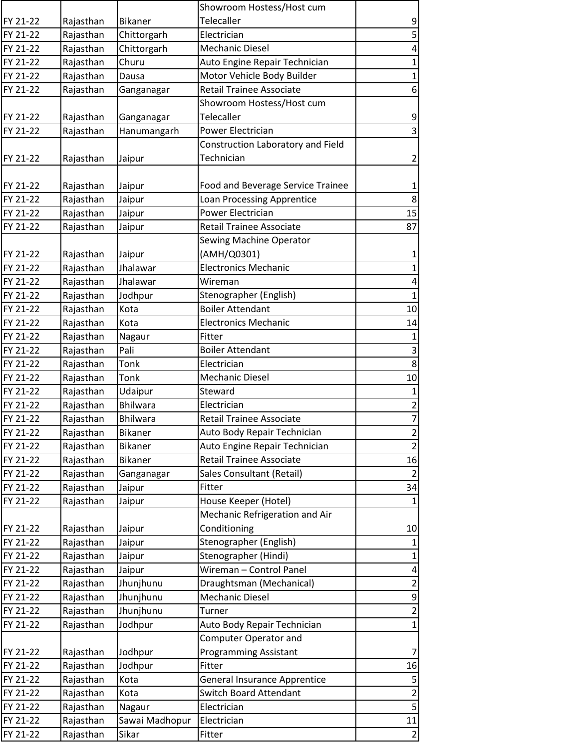|          |           |                 | Showroom Hostess/Host cum           |                         |
|----------|-----------|-----------------|-------------------------------------|-------------------------|
| FY 21-22 | Rajasthan | <b>Bikaner</b>  | Telecaller                          | 9                       |
| FY 21-22 | Rajasthan | Chittorgarh     | Electrician                         | 5                       |
| FY 21-22 | Rajasthan | Chittorgarh     | <b>Mechanic Diesel</b>              | 4                       |
| FY 21-22 | Rajasthan | Churu           | Auto Engine Repair Technician       | 1                       |
| FY 21-22 | Rajasthan | Dausa           | Motor Vehicle Body Builder          | $\mathbf 1$             |
| FY 21-22 | Rajasthan | Ganganagar      | <b>Retail Trainee Associate</b>     | 6                       |
|          |           |                 | Showroom Hostess/Host cum           |                         |
| FY 21-22 | Rajasthan | Ganganagar      | Telecaller                          | 9                       |
| FY 21-22 | Rajasthan | Hanumangarh     | Power Electrician                   | $\mathsf{3}$            |
|          |           |                 | Construction Laboratory and Field   |                         |
| FY 21-22 | Rajasthan | Jaipur          | Technician                          | $\overline{2}$          |
|          |           |                 |                                     |                         |
| FY 21-22 | Rajasthan | Jaipur          | Food and Beverage Service Trainee   | 1                       |
| FY 21-22 | Rajasthan | Jaipur          | <b>Loan Processing Apprentice</b>   | 8                       |
| FY 21-22 | Rajasthan | Jaipur          | <b>Power Electrician</b>            | 15                      |
| FY 21-22 | Rajasthan | Jaipur          | <b>Retail Trainee Associate</b>     | 87                      |
|          |           |                 | Sewing Machine Operator             |                         |
| FY 21-22 | Rajasthan | Jaipur          | (AMH/Q0301)                         | 1                       |
| FY 21-22 | Rajasthan | Jhalawar        | <b>Electronics Mechanic</b>         | $\mathbf 1$             |
| FY 21-22 | Rajasthan | Jhalawar        | Wireman                             | 4                       |
| FY 21-22 | Rajasthan | Jodhpur         | Stenographer (English)              | $\mathbf 1$             |
| FY 21-22 | Rajasthan | Kota            | <b>Boiler Attendant</b>             | 10                      |
| FY 21-22 | Rajasthan | Kota            | <b>Electronics Mechanic</b>         | 14                      |
| FY 21-22 | Rajasthan | Nagaur          | Fitter                              | $\mathbf{1}$            |
| FY 21-22 | Rajasthan | Pali            | <b>Boiler Attendant</b>             | $\overline{\mathbf{3}}$ |
| FY 21-22 | Rajasthan | Tonk            | Electrician                         | 8                       |
| FY 21-22 | Rajasthan | Tonk            | <b>Mechanic Diesel</b>              | 10                      |
| FY 21-22 | Rajasthan | Udaipur         | Steward                             | $\mathbf 1$             |
| FY 21-22 | Rajasthan | <b>Bhilwara</b> | Electrician                         | $\mathbf 2$             |
| FY 21-22 | Rajasthan | Bhilwara        | <b>Retail Trainee Associate</b>     | $\overline{7}$          |
| FY 21-22 | Rajasthan | Bikaner         | Auto Body Repair Technician         | $\overline{2}$          |
| FY 21-22 | Rajasthan | <b>Bikaner</b>  | Auto Engine Repair Technician       | $\overline{2}$          |
| FY 21-22 | Rajasthan | Bikaner         | <b>Retail Trainee Associate</b>     | 16                      |
| FY 21-22 | Rajasthan | Ganganagar      | Sales Consultant (Retail)           | $\overline{2}$          |
| FY 21-22 | Rajasthan | Jaipur          | Fitter                              | 34                      |
| FY 21-22 | Rajasthan | Jaipur          | House Keeper (Hotel)                | $\mathbf{1}$            |
|          |           |                 | Mechanic Refrigeration and Air      |                         |
| FY 21-22 | Rajasthan | Jaipur          | Conditioning                        | 10                      |
| FY 21-22 | Rajasthan | Jaipur          | Stenographer (English)              | $\mathbf{1}$            |
| FY 21-22 | Rajasthan | Jaipur          | Stenographer (Hindi)                | $\mathbf{1}$            |
| FY 21-22 | Rajasthan | Jaipur          | Wireman - Control Panel             | 4                       |
| FY 21-22 | Rajasthan | Jhunjhunu       | Draughtsman (Mechanical)            | $\overline{2}$          |
| FY 21-22 | Rajasthan | Jhunjhunu       | <b>Mechanic Diesel</b>              | 9                       |
| FY 21-22 | Rajasthan | Jhunjhunu       | Turner                              | $\overline{c}$          |
| FY 21-22 | Rajasthan | Jodhpur         | Auto Body Repair Technician         | $\mathbf 1$             |
|          |           |                 | Computer Operator and               |                         |
| FY 21-22 | Rajasthan | Jodhpur         | <b>Programming Assistant</b>        | 7                       |
| FY 21-22 | Rajasthan | Jodhpur         | Fitter                              | 16                      |
| FY 21-22 | Rajasthan | Kota            | <b>General Insurance Apprentice</b> | 5                       |
| FY 21-22 | Rajasthan | Kota            | Switch Board Attendant              | $\overline{2}$          |
| FY 21-22 | Rajasthan | Nagaur          | Electrician                         | 5                       |
| FY 21-22 | Rajasthan | Sawai Madhopur  | Electrician                         | $11\,$                  |
| FY 21-22 | Rajasthan | Sikar           | Fitter                              | $\overline{2}$          |
|          |           |                 |                                     |                         |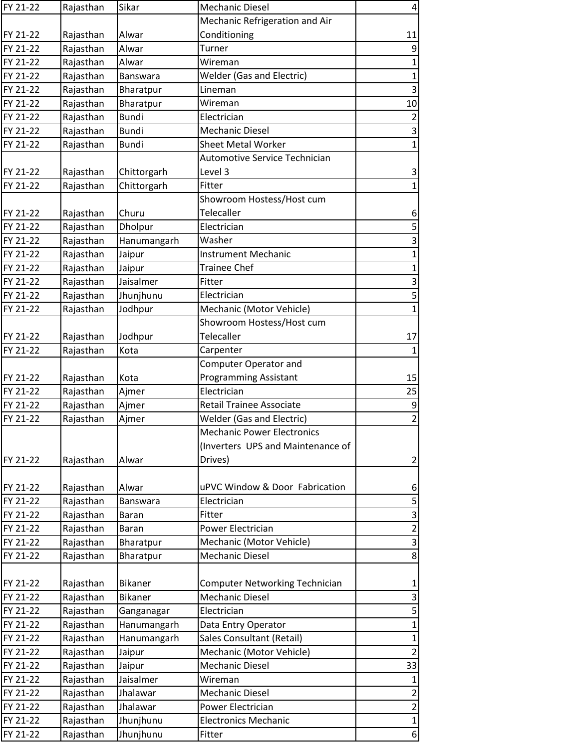| FY 21-22 | Rajasthan | Sikar           | <b>Mechanic Diesel</b>            | 4                         |
|----------|-----------|-----------------|-----------------------------------|---------------------------|
|          |           |                 | Mechanic Refrigeration and Air    |                           |
| FY 21-22 | Rajasthan | Alwar           | Conditioning                      | 11                        |
| FY 21-22 | Rajasthan | Alwar           | Turner                            | $\boldsymbol{9}$          |
| FY 21-22 | Rajasthan | Alwar           | Wireman                           | $\mathbf{1}$              |
| FY 21-22 | Rajasthan | <b>Banswara</b> | <b>Welder (Gas and Electric)</b>  | $\mathbf{1}$              |
| FY 21-22 | Rajasthan | Bharatpur       | Lineman                           | $\mathsf{3}$              |
| FY 21-22 | Rajasthan | Bharatpur       | Wireman                           | 10                        |
| FY 21-22 | Rajasthan | <b>Bundi</b>    | Electrician                       | $\overline{2}$            |
| FY 21-22 | Rajasthan | <b>Bundi</b>    | <b>Mechanic Diesel</b>            | $\ensuremath{\mathsf{3}}$ |
| FY 21-22 | Rajasthan | <b>Bundi</b>    | <b>Sheet Metal Worker</b>         | $\mathbf{1}$              |
|          |           |                 | Automotive Service Technician     |                           |
| FY 21-22 | Rajasthan | Chittorgarh     | Level 3                           | 3                         |
| FY 21-22 | Rajasthan | Chittorgarh     | Fitter                            | $\mathbf{1}$              |
|          |           |                 | Showroom Hostess/Host cum         |                           |
| FY 21-22 | Rajasthan | Churu           | Telecaller                        | 6                         |
| FY 21-22 | Rajasthan | Dholpur         | Electrician                       | 5                         |
| FY 21-22 | Rajasthan | Hanumangarh     | Washer                            | 3                         |
| FY 21-22 | Rajasthan | Jaipur          | <b>Instrument Mechanic</b>        | $\mathbf 1$               |
| FY 21-22 | Rajasthan | Jaipur          | <b>Trainee Chef</b>               | $\mathbf{1}$              |
| FY 21-22 | Rajasthan | Jaisalmer       | Fitter                            | 3                         |
| FY 21-22 | Rajasthan | Jhunjhunu       | Electrician                       | $\mathsf S$               |
| FY 21-22 | Rajasthan | Jodhpur         | Mechanic (Motor Vehicle)          | $\mathbf{1}$              |
|          |           |                 | Showroom Hostess/Host cum         |                           |
| FY 21-22 | Rajasthan | Jodhpur         | Telecaller                        | 17                        |
| FY 21-22 | Rajasthan | Kota            | Carpenter                         | $\mathbf{1}$              |
|          |           |                 | <b>Computer Operator and</b>      |                           |
| FY 21-22 | Rajasthan | Kota            | <b>Programming Assistant</b>      | 15                        |
| FY 21-22 | Rajasthan | Ajmer           | Electrician                       | 25                        |
| FY 21-22 | Rajasthan | Ajmer           | <b>Retail Trainee Associate</b>   | 9                         |
| FY 21-22 | Rajasthan | Ajmer           | <b>Welder (Gas and Electric)</b>  | $\mathbf 2$               |
|          |           |                 | <b>Mechanic Power Electronics</b> |                           |
|          |           |                 | (Inverters UPS and Maintenance of |                           |
| FY 21-22 | Rajasthan | Alwar           | Drives)                           | $\overline{2}$            |
|          |           |                 |                                   |                           |
| FY 21-22 | Rajasthan | Alwar           | uPVC Window & Door Fabrication    | 6                         |
| FY 21-22 | Rajasthan | <b>Banswara</b> | Electrician                       | 5                         |
| FY 21-22 | Rajasthan | <b>Baran</b>    | Fitter                            | 3                         |
| FY 21-22 | Rajasthan | Baran           | Power Electrician                 | $\mathbf 2$               |
| FY 21-22 | Rajasthan | Bharatpur       | Mechanic (Motor Vehicle)          | 3                         |
| FY 21-22 | Rajasthan | Bharatpur       | <b>Mechanic Diesel</b>            | 8                         |
|          |           |                 |                                   |                           |
| FY 21-22 | Rajasthan | <b>Bikaner</b>  | Computer Networking Technician    | $\mathbf 1$               |
| FY 21-22 | Rajasthan | <b>Bikaner</b>  | <b>Mechanic Diesel</b>            | 3                         |
| FY 21-22 | Rajasthan | Ganganagar      | Electrician                       | 5                         |
| FY 21-22 | Rajasthan | Hanumangarh     | Data Entry Operator               | $\mathbf{1}$              |
| FY 21-22 | Rajasthan | Hanumangarh     | Sales Consultant (Retail)         | $\mathbf{1}$              |
| FY 21-22 | Rajasthan | Jaipur          | Mechanic (Motor Vehicle)          | $\overline{2}$            |
| FY 21-22 | Rajasthan | Jaipur          | <b>Mechanic Diesel</b>            | 33                        |
| FY 21-22 | Rajasthan | Jaisalmer       | Wireman                           | 1                         |
| FY 21-22 | Rajasthan | Jhalawar        | <b>Mechanic Diesel</b>            | $\overline{2}$            |
| FY 21-22 | Rajasthan | Jhalawar        | Power Electrician                 | $\overline{2}$            |
| FY 21-22 | Rajasthan | Jhunjhunu       | <b>Electronics Mechanic</b>       | $\mathbf{1}$              |
| FY 21-22 | Rajasthan | Jhunjhunu       | Fitter                            | $6 \mid$                  |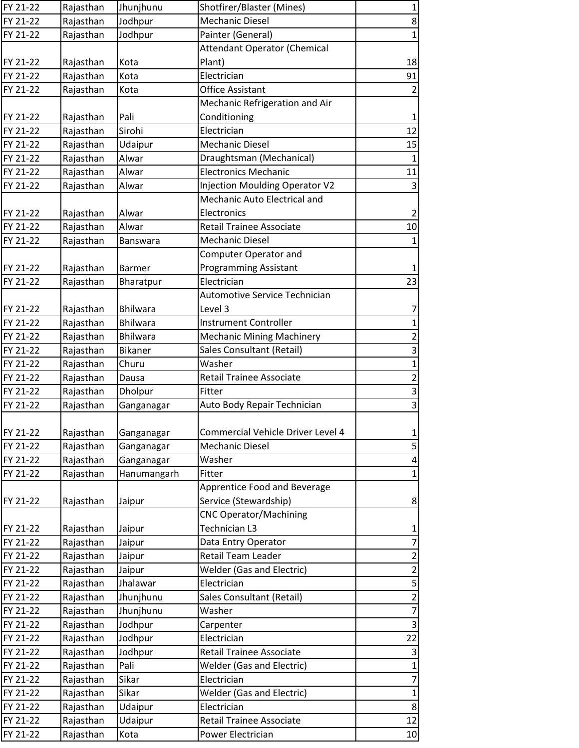| FY 21-22 | Rajasthan | Jhunjhunu                                                                                                                                                                                                                                                                                                                                                                                                                                                                                                                                                                                                                                                                                                                                                                                                                                                                                                                                                                                                                                                             | Shotfirer/Blaster (Mines)             | $\mathbf{1}$            |
|----------|-----------|-----------------------------------------------------------------------------------------------------------------------------------------------------------------------------------------------------------------------------------------------------------------------------------------------------------------------------------------------------------------------------------------------------------------------------------------------------------------------------------------------------------------------------------------------------------------------------------------------------------------------------------------------------------------------------------------------------------------------------------------------------------------------------------------------------------------------------------------------------------------------------------------------------------------------------------------------------------------------------------------------------------------------------------------------------------------------|---------------------------------------|-------------------------|
| FY 21-22 | Rajasthan | Jodhpur                                                                                                                                                                                                                                                                                                                                                                                                                                                                                                                                                                                                                                                                                                                                                                                                                                                                                                                                                                                                                                                               | <b>Mechanic Diesel</b>                | $\bf 8$                 |
| FY 21-22 | Rajasthan | Jodhpur                                                                                                                                                                                                                                                                                                                                                                                                                                                                                                                                                                                                                                                                                                                                                                                                                                                                                                                                                                                                                                                               | Painter (General)                     | $\mathbf 1$             |
|          |           |                                                                                                                                                                                                                                                                                                                                                                                                                                                                                                                                                                                                                                                                                                                                                                                                                                                                                                                                                                                                                                                                       | <b>Attendant Operator (Chemical</b>   |                         |
| FY 21-22 | Rajasthan | Kota                                                                                                                                                                                                                                                                                                                                                                                                                                                                                                                                                                                                                                                                                                                                                                                                                                                                                                                                                                                                                                                                  | Plant)                                | 18                      |
| FY 21-22 | Rajasthan | Kota                                                                                                                                                                                                                                                                                                                                                                                                                                                                                                                                                                                                                                                                                                                                                                                                                                                                                                                                                                                                                                                                  | Electrician                           | 91                      |
| FY 21-22 | Rajasthan | Kota                                                                                                                                                                                                                                                                                                                                                                                                                                                                                                                                                                                                                                                                                                                                                                                                                                                                                                                                                                                                                                                                  | <b>Office Assistant</b>               | 2                       |
|          |           |                                                                                                                                                                                                                                                                                                                                                                                                                                                                                                                                                                                                                                                                                                                                                                                                                                                                                                                                                                                                                                                                       | Mechanic Refrigeration and Air        |                         |
| FY 21-22 | Rajasthan | Pali                                                                                                                                                                                                                                                                                                                                                                                                                                                                                                                                                                                                                                                                                                                                                                                                                                                                                                                                                                                                                                                                  | Conditioning                          | $\mathbf 1$             |
| FY 21-22 | Rajasthan | Sirohi                                                                                                                                                                                                                                                                                                                                                                                                                                                                                                                                                                                                                                                                                                                                                                                                                                                                                                                                                                                                                                                                | Electrician                           | 12                      |
| FY 21-22 | Rajasthan | Udaipur                                                                                                                                                                                                                                                                                                                                                                                                                                                                                                                                                                                                                                                                                                                                                                                                                                                                                                                                                                                                                                                               | <b>Mechanic Diesel</b>                | 15                      |
| FY 21-22 | Rajasthan | Alwar                                                                                                                                                                                                                                                                                                                                                                                                                                                                                                                                                                                                                                                                                                                                                                                                                                                                                                                                                                                                                                                                 | Draughtsman (Mechanical)              | 1                       |
| FY 21-22 | Rajasthan | Alwar                                                                                                                                                                                                                                                                                                                                                                                                                                                                                                                                                                                                                                                                                                                                                                                                                                                                                                                                                                                                                                                                 | <b>Electronics Mechanic</b>           | 11                      |
| FY 21-22 | Rajasthan | Alwar                                                                                                                                                                                                                                                                                                                                                                                                                                                                                                                                                                                                                                                                                                                                                                                                                                                                                                                                                                                                                                                                 | <b>Injection Moulding Operator V2</b> | 3                       |
|          |           |                                                                                                                                                                                                                                                                                                                                                                                                                                                                                                                                                                                                                                                                                                                                                                                                                                                                                                                                                                                                                                                                       | Mechanic Auto Electrical and          |                         |
| FY 21-22 | Rajasthan | Alwar                                                                                                                                                                                                                                                                                                                                                                                                                                                                                                                                                                                                                                                                                                                                                                                                                                                                                                                                                                                                                                                                 | Electronics                           | $\overline{2}$          |
| FY 21-22 | Rajasthan | Alwar                                                                                                                                                                                                                                                                                                                                                                                                                                                                                                                                                                                                                                                                                                                                                                                                                                                                                                                                                                                                                                                                 | <b>Retail Trainee Associate</b>       | 10                      |
| FY 21-22 | Rajasthan | <b>Banswara</b>                                                                                                                                                                                                                                                                                                                                                                                                                                                                                                                                                                                                                                                                                                                                                                                                                                                                                                                                                                                                                                                       | <b>Mechanic Diesel</b>                | 1                       |
|          |           |                                                                                                                                                                                                                                                                                                                                                                                                                                                                                                                                                                                                                                                                                                                                                                                                                                                                                                                                                                                                                                                                       | Computer Operator and                 |                         |
| FY 21-22 | Rajasthan | <b>Barmer</b>                                                                                                                                                                                                                                                                                                                                                                                                                                                                                                                                                                                                                                                                                                                                                                                                                                                                                                                                                                                                                                                         | <b>Programming Assistant</b>          | $\mathbf{1}$            |
| FY 21-22 | Rajasthan | Bharatpur                                                                                                                                                                                                                                                                                                                                                                                                                                                                                                                                                                                                                                                                                                                                                                                                                                                                                                                                                                                                                                                             | Electrician                           | 23                      |
|          |           |                                                                                                                                                                                                                                                                                                                                                                                                                                                                                                                                                                                                                                                                                                                                                                                                                                                                                                                                                                                                                                                                       | Automotive Service Technician         |                         |
| FY 21-22 | Rajasthan | <b>Bhilwara</b>                                                                                                                                                                                                                                                                                                                                                                                                                                                                                                                                                                                                                                                                                                                                                                                                                                                                                                                                                                                                                                                       | Level 3                               | 7                       |
| FY 21-22 | Rajasthan | Bhilwara                                                                                                                                                                                                                                                                                                                                                                                                                                                                                                                                                                                                                                                                                                                                                                                                                                                                                                                                                                                                                                                              | <b>Instrument Controller</b>          | $\mathbf{1}$            |
| FY 21-22 | Rajasthan | <b>Bhilwara</b>                                                                                                                                                                                                                                                                                                                                                                                                                                                                                                                                                                                                                                                                                                                                                                                                                                                                                                                                                                                                                                                       | <b>Mechanic Mining Machinery</b>      | $\overline{2}$          |
| FY 21-22 | Rajasthan | <b>Bikaner</b>                                                                                                                                                                                                                                                                                                                                                                                                                                                                                                                                                                                                                                                                                                                                                                                                                                                                                                                                                                                                                                                        | Sales Consultant (Retail)             | 3                       |
| FY 21-22 | Rajasthan | Churu                                                                                                                                                                                                                                                                                                                                                                                                                                                                                                                                                                                                                                                                                                                                                                                                                                                                                                                                                                                                                                                                 | Washer                                | $\mathbf{1}$            |
| FY 21-22 | Rajasthan | Dausa                                                                                                                                                                                                                                                                                                                                                                                                                                                                                                                                                                                                                                                                                                                                                                                                                                                                                                                                                                                                                                                                 | <b>Retail Trainee Associate</b>       | $\overline{2}$          |
| FY 21-22 | Rajasthan | Dholpur                                                                                                                                                                                                                                                                                                                                                                                                                                                                                                                                                                                                                                                                                                                                                                                                                                                                                                                                                                                                                                                               | Fitter                                | 3                       |
| FY 21-22 | Rajasthan | Ganganagar                                                                                                                                                                                                                                                                                                                                                                                                                                                                                                                                                                                                                                                                                                                                                                                                                                                                                                                                                                                                                                                            | Auto Body Repair Technician           | 3                       |
|          |           |                                                                                                                                                                                                                                                                                                                                                                                                                                                                                                                                                                                                                                                                                                                                                                                                                                                                                                                                                                                                                                                                       |                                       |                         |
| FY 21-22 |           |                                                                                                                                                                                                                                                                                                                                                                                                                                                                                                                                                                                                                                                                                                                                                                                                                                                                                                                                                                                                                                                                       |                                       | $\mathbf{1}$            |
| FY 21-22 |           |                                                                                                                                                                                                                                                                                                                                                                                                                                                                                                                                                                                                                                                                                                                                                                                                                                                                                                                                                                                                                                                                       |                                       | $\mathsf S$             |
| FY 21-22 |           |                                                                                                                                                                                                                                                                                                                                                                                                                                                                                                                                                                                                                                                                                                                                                                                                                                                                                                                                                                                                                                                                       |                                       | $\overline{4}$          |
| FY 21-22 |           |                                                                                                                                                                                                                                                                                                                                                                                                                                                                                                                                                                                                                                                                                                                                                                                                                                                                                                                                                                                                                                                                       |                                       | $\mathbf 1$             |
|          |           |                                                                                                                                                                                                                                                                                                                                                                                                                                                                                                                                                                                                                                                                                                                                                                                                                                                                                                                                                                                                                                                                       |                                       |                         |
| FY 21-22 |           | Rajasthan<br>Commercial Vehicle Driver Level 4<br>Ganganagar<br><b>Mechanic Diesel</b><br>Rajasthan<br>Ganganagar<br>Washer<br>Rajasthan<br>Ganganagar<br>Rajasthan<br>Hanumangarh<br>Fitter<br>Apprentice Food and Beverage<br>Service (Stewardship)<br>Rajasthan<br>Jaipur<br><b>CNC Operator/Machining</b><br>Technician L3<br>Jaipur<br>Data Entry Operator<br>Rajasthan<br>Jaipur<br>Retail Team Leader<br>Rajasthan<br>Jaipur<br><b>Welder (Gas and Electric)</b><br>Rajasthan<br>Jaipur<br>Electrician<br>Rajasthan<br>Jhalawar<br>Sales Consultant (Retail)<br>Rajasthan<br>Jhunjhunu<br>Rajasthan<br>Washer<br>Jhunjhunu<br>Jodhpur<br>Rajasthan<br>Carpenter<br>Jodhpur<br>Electrician<br>Rajasthan<br>Rajasthan<br>Jodhpur<br><b>Retail Trainee Associate</b><br>Pali<br>Rajasthan<br>Welder (Gas and Electric)<br>Electrician<br>Rajasthan<br>Sikar<br>Sikar<br><b>Welder (Gas and Electric)</b><br>Rajasthan<br>Electrician<br>Rajasthan<br>Udaipur<br><b>Retail Trainee Associate</b><br>Rajasthan<br>Udaipur<br>Rajasthan<br>Kota<br>Power Electrician | $\bf 8$                               |                         |
|          |           |                                                                                                                                                                                                                                                                                                                                                                                                                                                                                                                                                                                                                                                                                                                                                                                                                                                                                                                                                                                                                                                                       |                                       |                         |
| FY 21-22 | Rajasthan |                                                                                                                                                                                                                                                                                                                                                                                                                                                                                                                                                                                                                                                                                                                                                                                                                                                                                                                                                                                                                                                                       |                                       | $\mathbf{1}$            |
| FY 21-22 |           |                                                                                                                                                                                                                                                                                                                                                                                                                                                                                                                                                                                                                                                                                                                                                                                                                                                                                                                                                                                                                                                                       |                                       | $\overline{7}$          |
| FY 21-22 |           |                                                                                                                                                                                                                                                                                                                                                                                                                                                                                                                                                                                                                                                                                                                                                                                                                                                                                                                                                                                                                                                                       |                                       | $\overline{2}$          |
| FY 21-22 |           |                                                                                                                                                                                                                                                                                                                                                                                                                                                                                                                                                                                                                                                                                                                                                                                                                                                                                                                                                                                                                                                                       |                                       | $\overline{c}$          |
| FY 21-22 |           |                                                                                                                                                                                                                                                                                                                                                                                                                                                                                                                                                                                                                                                                                                                                                                                                                                                                                                                                                                                                                                                                       |                                       | 5                       |
| FY 21-22 |           |                                                                                                                                                                                                                                                                                                                                                                                                                                                                                                                                                                                                                                                                                                                                                                                                                                                                                                                                                                                                                                                                       |                                       | $\overline{c}$          |
| FY 21-22 |           |                                                                                                                                                                                                                                                                                                                                                                                                                                                                                                                                                                                                                                                                                                                                                                                                                                                                                                                                                                                                                                                                       |                                       | $\overline{\mathbf{7}}$ |
| FY 21-22 |           |                                                                                                                                                                                                                                                                                                                                                                                                                                                                                                                                                                                                                                                                                                                                                                                                                                                                                                                                                                                                                                                                       |                                       | $\mathsf 3$             |
| FY 21-22 |           |                                                                                                                                                                                                                                                                                                                                                                                                                                                                                                                                                                                                                                                                                                                                                                                                                                                                                                                                                                                                                                                                       |                                       | 22                      |
| FY 21-22 |           |                                                                                                                                                                                                                                                                                                                                                                                                                                                                                                                                                                                                                                                                                                                                                                                                                                                                                                                                                                                                                                                                       |                                       | $\mathsf{3}$            |
| FY 21-22 |           |                                                                                                                                                                                                                                                                                                                                                                                                                                                                                                                                                                                                                                                                                                                                                                                                                                                                                                                                                                                                                                                                       |                                       | $\mathbf 1$             |
| FY 21-22 |           |                                                                                                                                                                                                                                                                                                                                                                                                                                                                                                                                                                                                                                                                                                                                                                                                                                                                                                                                                                                                                                                                       |                                       | $\overline{7}$          |
| FY 21-22 |           |                                                                                                                                                                                                                                                                                                                                                                                                                                                                                                                                                                                                                                                                                                                                                                                                                                                                                                                                                                                                                                                                       |                                       | $\mathbf{1}$            |
| FY 21-22 |           |                                                                                                                                                                                                                                                                                                                                                                                                                                                                                                                                                                                                                                                                                                                                                                                                                                                                                                                                                                                                                                                                       |                                       | $\bf 8$                 |
| FY 21-22 |           |                                                                                                                                                                                                                                                                                                                                                                                                                                                                                                                                                                                                                                                                                                                                                                                                                                                                                                                                                                                                                                                                       |                                       | 12                      |
| FY 21-22 |           |                                                                                                                                                                                                                                                                                                                                                                                                                                                                                                                                                                                                                                                                                                                                                                                                                                                                                                                                                                                                                                                                       |                                       | 10                      |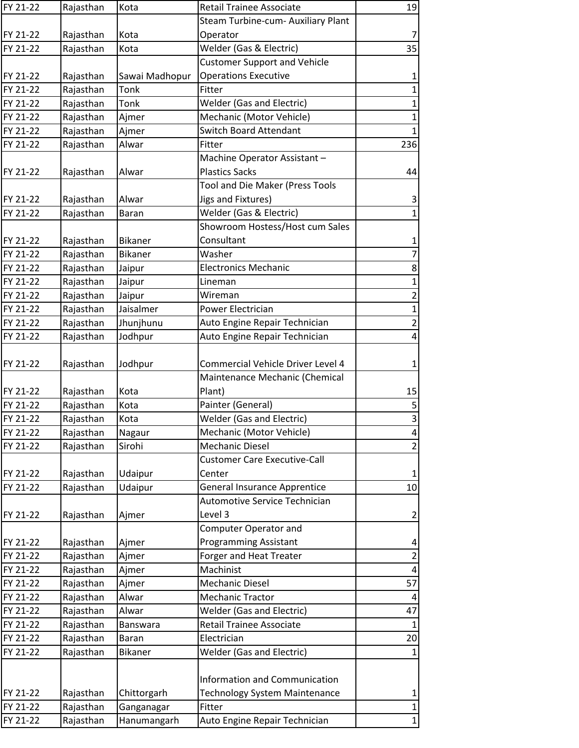| FY 21-22 | Rajasthan | Kota           | <b>Retail Trainee Associate</b>      | 19             |
|----------|-----------|----------------|--------------------------------------|----------------|
|          |           |                | Steam Turbine-cum- Auxiliary Plant   |                |
| FY 21-22 | Rajasthan | Kota           | Operator                             | $\overline{7}$ |
| FY 21-22 | Rajasthan | Kota           | Welder (Gas & Electric)              | 35             |
|          |           |                | <b>Customer Support and Vehicle</b>  |                |
| FY 21-22 | Rajasthan | Sawai Madhopur | <b>Operations Executive</b>          | $\mathbf{1}$   |
| FY 21-22 | Rajasthan | <b>Tonk</b>    | Fitter                               | $\mathbf 1$    |
| FY 21-22 | Rajasthan | <b>Tonk</b>    | <b>Welder (Gas and Electric)</b>     | $\mathbf{1}$   |
| FY 21-22 | Rajasthan | Ajmer          | Mechanic (Motor Vehicle)             | $\mathbf{1}$   |
| FY 21-22 | Rajasthan | Ajmer          | <b>Switch Board Attendant</b>        | $\mathbf 1$    |
| FY 21-22 | Rajasthan | Alwar          | Fitter                               | 236            |
|          |           |                | Machine Operator Assistant-          |                |
| FY 21-22 | Rajasthan | Alwar          | <b>Plastics Sacks</b>                | 44             |
|          |           |                | Tool and Die Maker (Press Tools      |                |
| FY 21-22 | Rajasthan | Alwar          | Jigs and Fixtures)                   | 3              |
| FY 21-22 | Rajasthan | <b>Baran</b>   | Welder (Gas & Electric)              | $\mathbf{1}$   |
|          |           |                | Showroom Hostess/Host cum Sales      |                |
| FY 21-22 | Rajasthan | <b>Bikaner</b> | Consultant                           | $\mathbf 1$    |
| FY 21-22 | Rajasthan | <b>Bikaner</b> | Washer                               | $\overline{7}$ |
| FY 21-22 | Rajasthan | Jaipur         | <b>Electronics Mechanic</b>          | 8              |
| FY 21-22 | Rajasthan | Jaipur         | Lineman                              | $\mathbf{1}$   |
| FY 21-22 | Rajasthan | Jaipur         | Wireman                              | $\overline{2}$ |
| FY 21-22 | Rajasthan | Jaisalmer      | Power Electrician                    | $\mathbf{1}$   |
| FY 21-22 | Rajasthan | Jhunjhunu      | Auto Engine Repair Technician        | $\overline{2}$ |
| FY 21-22 | Rajasthan | Jodhpur        | Auto Engine Repair Technician        | 4              |
|          |           |                |                                      |                |
| FY 21-22 | Rajasthan | Jodhpur        | Commercial Vehicle Driver Level 4    | $\mathbf{1}$   |
|          |           |                | Maintenance Mechanic (Chemical       |                |
| FY 21-22 | Rajasthan | Kota           | Plant)                               | 15             |
| FY 21-22 | Rajasthan | Kota           | Painter (General)                    | 5              |
| FY 21-22 | Rajasthan | Kota           | <b>Welder (Gas and Electric)</b>     | 3              |
| FY 21-22 | Rajasthan | Nagaur         | Mechanic (Motor Vehicle)             | 4              |
| FY 21-22 | Rajasthan | Sirohi         | <b>Mechanic Diesel</b>               | $\overline{2}$ |
|          |           |                | <b>Customer Care Executive-Call</b>  |                |
| FY 21-22 | Rajasthan | Udaipur        | Center                               | $\mathbf{1}$   |
| FY 21-22 | Rajasthan | Udaipur        | General Insurance Apprentice         | $10\,$         |
|          |           |                | Automotive Service Technician        |                |
| FY 21-22 | Rajasthan | Ajmer          | Level 3                              | $\overline{2}$ |
|          |           |                | <b>Computer Operator and</b>         |                |
| FY 21-22 | Rajasthan | Ajmer          | <b>Programming Assistant</b>         | 4              |
| FY 21-22 | Rajasthan | Ajmer          | Forger and Heat Treater              | $\overline{2}$ |
|          |           |                | Machinist                            | 4              |
| FY 21-22 | Rajasthan | Ajmer          |                                      | 57             |
| FY 21-22 | Rajasthan | Ajmer          | <b>Mechanic Diesel</b>               |                |
| FY 21-22 | Rajasthan | Alwar          | <b>Mechanic Tractor</b>              | 4              |
| FY 21-22 | Rajasthan | Alwar          | <b>Welder (Gas and Electric)</b>     | 47             |
| FY 21-22 | Rajasthan | Banswara       | <b>Retail Trainee Associate</b>      | $\mathbf{1}$   |
| FY 21-22 | Rajasthan | Baran          | Electrician                          | 20             |
| FY 21-22 | Rajasthan | Bikaner        | <b>Welder (Gas and Electric)</b>     | $\mathbf{1}$   |
|          |           |                |                                      |                |
|          |           |                | Information and Communication        |                |
| FY 21-22 | Rajasthan | Chittorgarh    | <b>Technology System Maintenance</b> | $\mathbf{1}$   |
| FY 21-22 | Rajasthan | Ganganagar     | Fitter                               | $\mathbf{1}$   |
| FY 21-22 | Rajasthan | Hanumangarh    | Auto Engine Repair Technician        | $\mathbf{1}$   |